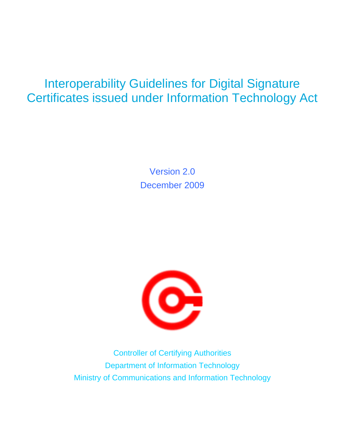### Interoperability Guidelines for Digital Signature Certificates issued under Information Technology Act

Version 2.0 December 2009



Controller of Certifying Authorities Department of Information Technology Ministry of Communications and Information Technology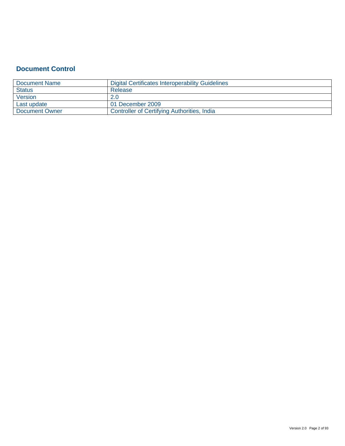### **Document Control**

| Document Name  | Digital Certificates Interoperability Guidelines |
|----------------|--------------------------------------------------|
| <b>Status</b>  | Release                                          |
| Version        |                                                  |
| Last update    | 01 December 2009                                 |
| Document Owner | Controller of Certifying Authorities, India      |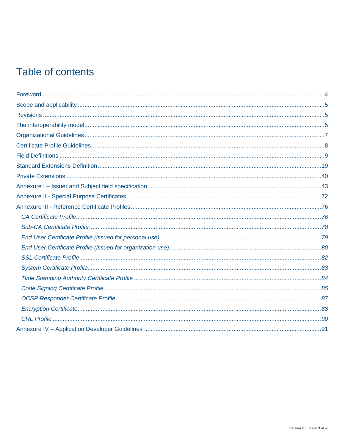### Table of contents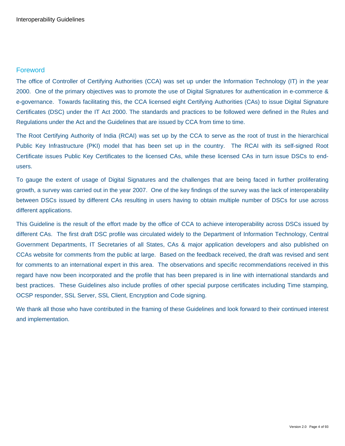### <span id="page-3-0"></span>Foreword

The office of Controller of Certifying Authorities (CCA) was set up under the Information Technology (IT) in the year 2000. One of the primary objectives was to promote the use of Digital Signatures for authentication in e-commerce & e-governance. Towards facilitating this, the CCA licensed eight Certifying Authorities (CAs) to issue Digital Signature Certificates (DSC) under the IT Act 2000. The standards and practices to be followed were defined in the Rules and Regulations under the Act and the Guidelines that are issued by CCA from time to time.

The Root Certifying Authority of India (RCAI) was set up by the CCA to serve as the root of trust in the hierarchical Public Key Infrastructure (PKI) model that has been set up in the country. The RCAI with its self-signed Root Certificate issues Public Key Certificates to the licensed CAs, while these licensed CAs in turn issue DSCs to endusers.

To gauge the extent of usage of Digital Signatures and the challenges that are being faced in further proliferating growth, a survey was carried out in the year 2007. One of the key findings of the survey was the lack of interoperability between DSCs issued by different CAs resulting in users having to obtain multiple number of DSCs for use across different applications.

This Guideline is the result of the effort made by the office of CCA to achieve interoperability across DSCs issued by different CAs. The first draft DSC profile was circulated widely to the Department of Information Technology, Central Government Departments, IT Secretaries of all States, CAs & major application developers and also published on CCAs website for comments from the public at large. Based on the feedback received, the draft was revised and sent for comments to an international expert in this area. The observations and specific recommendations received in this regard have now been incorporated and the profile that has been prepared is in line with international standards and best practices. These Guidelines also include profiles of other special purpose certificates including Time stamping, OCSP responder, SSL Server, SSL Client, Encryption and Code signing.

We thank all those who have contributed in the framing of these Guidelines and look forward to their continued interest and implementation.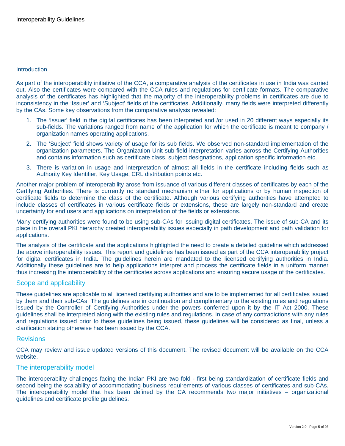#### <span id="page-4-0"></span>**Introduction**

As part of the interoperability initiative of the CCA, a comparative analysis of the certificates in use in India was carried out. Also the certificates were compared with the CCA rules and regulations for certificate formats. The comparative analysis of the certificates has highlighted that the majority of the interoperability problems in certificates are due to inconsistency in the 'Issuer' and 'Subject' fields of the certificates. Additionally, many fields were interpreted differently by the CAs. Some key observations from the comparative analysis revealed:

- 1. The 'Issuer' field in the digital certificates has been interpreted and /or used in 20 different ways especially its sub-fields. The variations ranged from name of the application for which the certificate is meant to company / organization names operating applications.
- 2. The 'Subject' field shows variety of usage for its sub fields. We observed non-standard implementation of the organization parameters. The Organization Unit sub field interpretation varies across the Certifying Authorities and contains information such as certificate class, subject designations, application specific information etc.
- 3. There is variation in usage and interpretation of almost all fields in the certificate including fields such as Authority Key Identifier, Key Usage, CRL distribution points etc.

Another major problem of interoperability arose from issuance of various different classes of certificates by each of the Certifying Authorities. There is currently no standard mechanism either for applications or by human inspection of certificate fields to determine the class of the certificate. Although various certifying authorities have attempted to include classes of certificates in various certificate fields or extensions, these are largely non-standard and create uncertainty for end users and applications on interpretation of the fields or extensions.

Many certifying authorities were found to be using sub-CAs for issuing digital certificates. The issue of sub-CA and its place in the overall PKI hierarchy created interoperability issues especially in path development and path validation for applications.

The analysis of the certificate and the applications highlighted the need to create a detailed guideline which addressed the above interoperability issues. This report and guidelines has been issued as part of the CCA interoperability project for digital certificates in India. The guidelines herein are mandated to the licensed certifying authorities in India. Additionally these guidelines are to help applications interpret and process the certificate fields in a uniform manner thus increasing the interoperability of the certificates across applications and ensuring secure usage of the certificates.

#### Scope and applicability

These guidelines are applicable to all licensed certifying authorities and are to be implemented for all certificates issued by them and their sub-CAs. The guidelines are in continuation and complimentary to the existing rules and regulations issued by the Controller of Certifying Authorities under the powers conferred upon it by the IT Act 2000. These guidelines shall be interpreted along with the existing rules and regulations. In case of any contradictions with any rules and regulations issued prior to these guidelines being issued, these guidelines will be considered as final, unless a clarification stating otherwise has been issued by the CCA.

#### **Revisions**

CCA may review and issue updated versions of this document. The revised document will be available on the CCA website.

#### The interoperability model

The interoperability challenges facing the Indian PKI are two fold - first being standardization of certificate fields and second being the scalability of accommodating business requirements of various classes of certificates and sub-CAs. The interoperability model that has been defined by the CA recommends two major initiatives – organizational guidelines and certificate profile guidelines.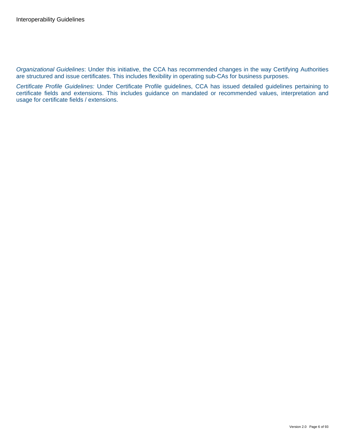*Organizational Guidelines*: Under this initiative, the CCA has recommended changes in the way Certifying Authorities are structured and issue certificates. This includes flexibility in operating sub-CAs for business purposes.

*Certificate Profile Guidelines:* Under Certificate Profile guidelines, CCA has issued detailed guidelines pertaining to certificate fields and extensions. This includes guidance on mandated or recommended values, interpretation and usage for certificate fields / extensions.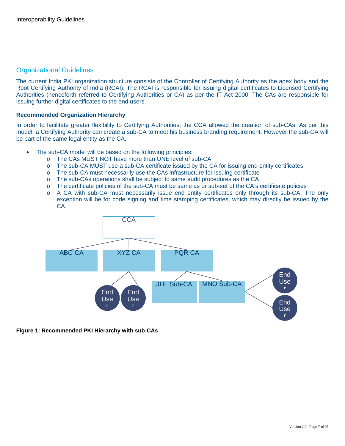### <span id="page-6-0"></span>Organizational Guidelines

The current India PKI organization structure consists of the Controller of Certifying Authority as the apex body and the Root Certifying Authority of India (RCAI). The RCAI is responsible for issuing digital certificates to Licensed Certifying Authorities (henceforth referred to Certifying Authorities or CA) as per the IT Act 2000. The CAs are responsible for issuing further digital certificates to the end users.

#### **Recommended Organization Hierarchy**

In order to facilitate greater flexibility to Certifying Authorities, the CCA allowed the creation of sub-CAs. As per this model, a Certifying Authority can create a sub-CA to meet his business branding requirement. However the sub-CA will be part of the same legal entity as the CA.

- The sub-CA model will be based on the following principles:
	- o The CAs MUST NOT have more than ONE level of sub-CA
	- o The sub-CA MUST use a sub-CA certificate issued by the CA for issuing end entity certificates
	- o The sub-CA must necessarily use the CAs infrastructure for issuing certificate
	- o The sub-CAs operations shall be subject to same audit procedures as the CA
	- o The certificate policies of the sub-CA must be same as or sub-set of the CA's certificate policies
	- o A CA with sub-CA must necessarily issue end entity certificates only through its sub-CA. The only exception will be for code signing and time stamping certificates, which may directly be issued by the CA.



#### **Figure 1: Recommended PKI Hierarchy with sub-CAs**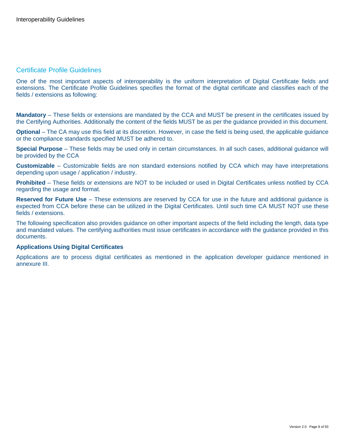### <span id="page-7-0"></span>Certificate Profile Guidelines

One of the most important aspects of interoperability is the uniform interpretation of Digital Certificate fields and extensions. The Certificate Profile Guidelines specifies the format of the digital certificate and classifies each of the fields / extensions as following:

**Mandatory** – These fields or extensions are mandated by the CCA and MUST be present in the certificates issued by the Certifying Authorities. Additionally the content of the fields MUST be as per the guidance provided in this document.

**Optional** – The CA may use this field at its discretion. However, in case the field is being used, the applicable guidance or the compliance standards specified MUST be adhered to.

**Special Purpose** – These fields may be used only in certain circumstances. In all such cases, additional guidance will be provided by the CCA

**Customizable** – Customizable fields are non standard extensions notified by CCA which may have interpretations depending upon usage / application / industry.

**Prohibited** – These fields or extensions are NOT to be included or used in Digital Certificates unless notified by CCA regarding the usage and format.

**Reserved for Future Use** – These extensions are reserved by CCA for use in the future and additional guidance is expected from CCA before these can be utilized in the Digital Certificates. Until such time CA MUST NOT use these fields / extensions.

The following specification also provides guidance on other important aspects of the field including the length, data type and mandated values. The certifying authorities must issue certificates in accordance with the guidance provided in this documents.

#### **Applications Using Digital Certificates**

Applications are to process digital certificates as mentioned in the application developer guidance mentioned in annexure III.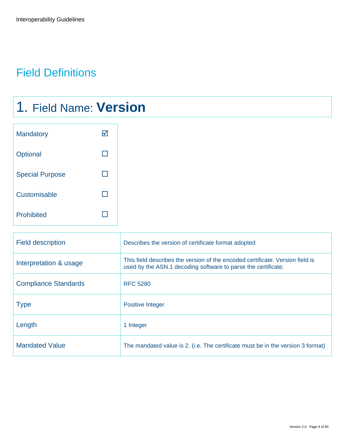### <span id="page-8-0"></span>Field Definitions

## 1. Field Name: **Version**

| Mandatory              |  |
|------------------------|--|
| Optional               |  |
| <b>Special Purpose</b> |  |
| Customisable           |  |
| <b>Prohibited</b>      |  |

| <b>Field description</b>    | Describes the version of certificate format adopted                                                                                            |
|-----------------------------|------------------------------------------------------------------------------------------------------------------------------------------------|
| Interpretation & usage      | This field describes the version of the encoded certificate. Version field is<br>used by the ASN.1 decoding software to parse the certificate. |
| <b>Compliance Standards</b> | <b>RFC 5280</b>                                                                                                                                |
| <b>Type</b>                 | <b>Positive Integer</b>                                                                                                                        |
| Length                      | 1 Integer                                                                                                                                      |
| <b>Mandated Value</b>       | The mandated value is 2. (i.e. The certificate must be in the version 3 format)                                                                |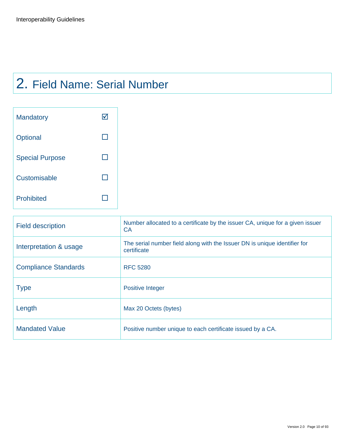## 2. Field Name: Serial Number

| <b>Mandatory</b>       |  |
|------------------------|--|
| Optional               |  |
| <b>Special Purpose</b> |  |
| Customisable           |  |
| <b>Prohibited</b>      |  |

| <b>Field description</b>    | Number allocated to a certificate by the issuer CA, unique for a given issuer<br>CA.     |
|-----------------------------|------------------------------------------------------------------------------------------|
| Interpretation & usage      | The serial number field along with the Issuer DN is unique identifier for<br>certificate |
| <b>Compliance Standards</b> | <b>RFC 5280</b>                                                                          |
| <b>Type</b>                 | <b>Positive Integer</b>                                                                  |
| Length                      | Max 20 Octets (bytes)                                                                    |
| <b>Mandated Value</b>       | Positive number unique to each certificate issued by a CA.                               |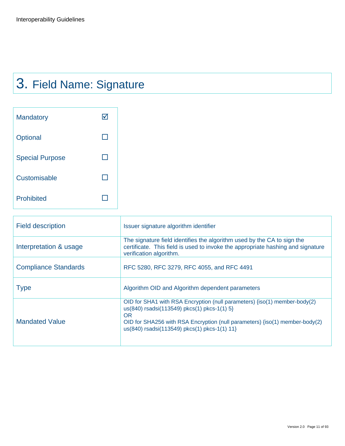# 3. Field Name: Signature

| <b>Mandatory</b>       |  |
|------------------------|--|
| Optional               |  |
| <b>Special Purpose</b> |  |
| Customisable           |  |
| <b>Prohibited</b>      |  |

| <b>Field description</b>    | Issuer signature algorithm identifier                                                                                                                                                                                                                            |
|-----------------------------|------------------------------------------------------------------------------------------------------------------------------------------------------------------------------------------------------------------------------------------------------------------|
| Interpretation & usage      | The signature field identifies the algorithm used by the CA to sign the<br>certificate. This field is used to invoke the appropriate hashing and signature<br>verification algorithm.                                                                            |
| <b>Compliance Standards</b> | RFC 5280, RFC 3279, RFC 4055, and RFC 4491                                                                                                                                                                                                                       |
| <b>Type</b>                 | Algorithm OID and Algorithm dependent parameters                                                                                                                                                                                                                 |
| <b>Mandated Value</b>       | OID for SHA1 with RSA Encryption (null parameters) $\{iso(1)$ member-body(2)<br>us(840) rsadsi(113549) pkcs(1) pkcs-1(1) 5}<br>OR<br>OID for SHA256 with RSA Encryption (null parameters) {iso(1) member-body(2)<br>us(840) rsadsi(113549) pkcs(1) pkcs-1(1) 11} |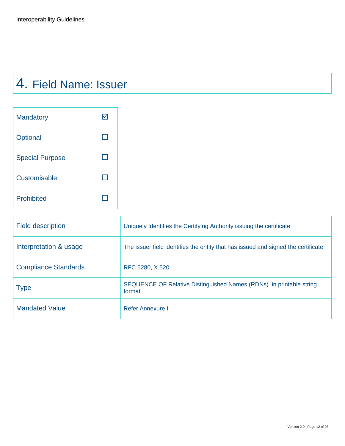## 4. Field Name: Issuer

| Mandatory              |  |
|------------------------|--|
| Optional               |  |
| <b>Special Purpose</b> |  |
| Customisable           |  |
| <b>Prohibited</b>      |  |

| <b>Field description</b>    | Uniquely Identifies the Certifying Authority issuing the certificate              |
|-----------------------------|-----------------------------------------------------------------------------------|
| Interpretation & usage      | The issuer field identifies the entity that has issued and signed the certificate |
| <b>Compliance Standards</b> | RFC 5280, X.520                                                                   |
| <b>Type</b>                 | SEQUENCE OF Relative Distinguished Names (RDNs) in printable string<br>format     |
| <b>Mandated Value</b>       | Refer Annexure I                                                                  |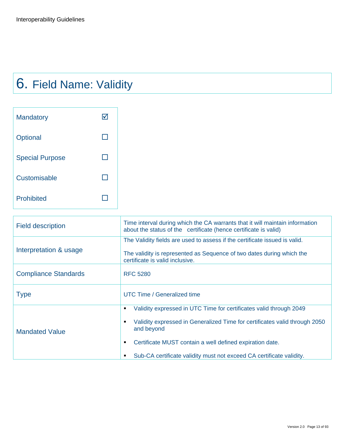# 6. Field Name: Validity

| Mandatory              |  |
|------------------------|--|
| Optional               |  |
| <b>Special Purpose</b> |  |
| Customisable           |  |
| <b>Prohibited</b>      |  |

| <b>Field description</b>    | Time interval during which the CA warrants that it will maintain information<br>about the status of the certificate (hence certificate is valid)                                                                                                                                                        |
|-----------------------------|---------------------------------------------------------------------------------------------------------------------------------------------------------------------------------------------------------------------------------------------------------------------------------------------------------|
| Interpretation & usage      | The Validity fields are used to assess if the certificate issued is valid.<br>The validity is represented as Sequence of two dates during which the<br>certificate is valid inclusive.                                                                                                                  |
| <b>Compliance Standards</b> | <b>RFC 5280</b>                                                                                                                                                                                                                                                                                         |
| <b>Type</b>                 | UTC Time / Generalized time                                                                                                                                                                                                                                                                             |
| <b>Mandated Value</b>       | Validity expressed in UTC Time for certificates valid through 2049<br>٠<br>Validity expressed in Generalized Time for certificates valid through 2050<br>and beyond<br>Certificate MUST contain a well defined expiration date.<br>Sub-CA certificate validity must not exceed CA certificate validity. |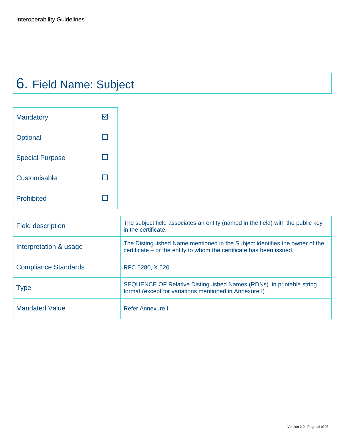## 6. Field Name: Subject

| <b>Mandatory</b>       |  |
|------------------------|--|
| Optional               |  |
| <b>Special Purpose</b> |  |
| Customisable           |  |
| <b>Prohibited</b>      |  |

| <b>Field description</b>    | The subject field associates an entity (named in the field) with the public key<br>in the certificate.                                              |
|-----------------------------|-----------------------------------------------------------------------------------------------------------------------------------------------------|
| Interpretation & usage      | The Distinguished Name mentioned in the Subject identifies the owner of the<br>certificate – or the entity to whom the certificate has been issued. |
| <b>Compliance Standards</b> | RFC 5280, X.520                                                                                                                                     |
| <b>Type</b>                 | SEQUENCE OF Relative Distinguished Names (RDNs) in printable string<br>format (except for variations mentioned in Annexure I)                       |
| <b>Mandated Value</b>       | Refer Annexure I                                                                                                                                    |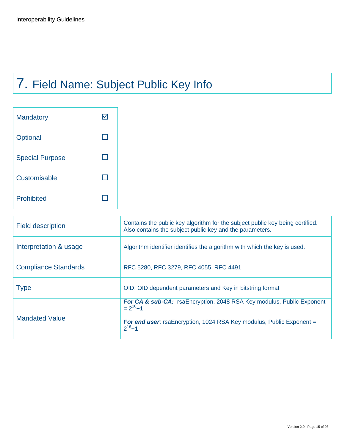# 7. Field Name: Subject Public Key Info

| <b>Mandatory</b>       |  |
|------------------------|--|
| Optional               |  |
| <b>Special Purpose</b> |  |
| Customisable           |  |
| <b>Prohibited</b>      |  |

| Algorithm identifier identifies the algorithm with which the key is used.                                                                                                                     |
|-----------------------------------------------------------------------------------------------------------------------------------------------------------------------------------------------|
| RFC 5280, RFC 3279, RFC 4055, RFC 4491                                                                                                                                                        |
| OID, OID dependent parameters and Key in bitstring format                                                                                                                                     |
| <b>For CA &amp; sub-CA:</b> rsaEncryption, 2048 RSA Key modulus, Public Exponent<br>$= 2^{16}+1$<br><b>For end user:</b> rsaEncryption, 1024 RSA Key modulus, Public Exponent =<br>$2^{16}+1$ |
|                                                                                                                                                                                               |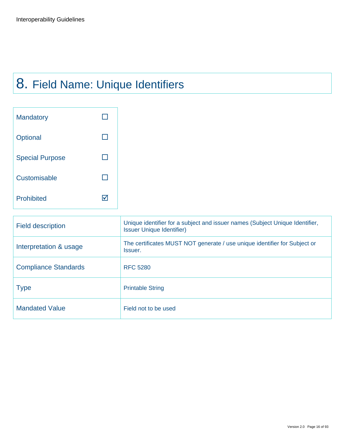## 8. Field Name: Unique Identifiers

| <b>Mandatory</b>       |  |
|------------------------|--|
| Optional               |  |
| <b>Special Purpose</b> |  |
| Customisable           |  |
| <b>Prohibited</b>      |  |

| <b>Field description</b>    | Unique identifier for a subject and issuer names (Subject Unique Identifier,<br><b>Issuer Unique Identifier)</b> |
|-----------------------------|------------------------------------------------------------------------------------------------------------------|
| Interpretation & usage      | The certificates MUST NOT generate / use unique identifier for Subject or<br>Issuer.                             |
| <b>Compliance Standards</b> | <b>RFC 5280</b>                                                                                                  |
| <b>Type</b>                 | <b>Printable String</b>                                                                                          |
| <b>Mandated Value</b>       | Field not to be used                                                                                             |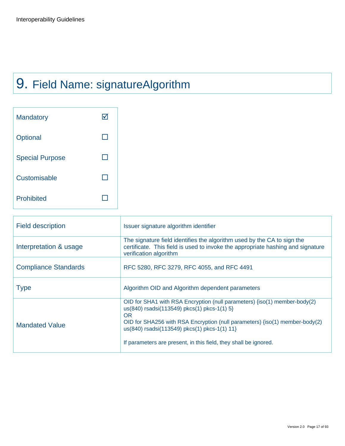## 9. Field Name: signatureAlgorithm

| <b>Mandatory</b>       |  |
|------------------------|--|
| Optional               |  |
| <b>Special Purpose</b> |  |
| Customisable           |  |
| Prohibited             |  |

| <b>Field description</b>    | Issuer signature algorithm identifier                                                                                                                                                                                                                                                                                                    |
|-----------------------------|------------------------------------------------------------------------------------------------------------------------------------------------------------------------------------------------------------------------------------------------------------------------------------------------------------------------------------------|
| Interpretation & usage      | The signature field identifies the algorithm used by the CA to sign the<br>certificate. This field is used to invoke the appropriate hashing and signature<br>verification algorithm                                                                                                                                                     |
| <b>Compliance Standards</b> | RFC 5280, RFC 3279, RFC 4055, and RFC 4491                                                                                                                                                                                                                                                                                               |
| <b>Type</b>                 | Algorithm OID and Algorithm dependent parameters                                                                                                                                                                                                                                                                                         |
| <b>Mandated Value</b>       | OID for SHA1 with RSA Encryption (null parameters) {iso(1) member-body(2)<br>us(840) rsadsi(113549) pkcs(1) pkcs-1(1) 5}<br><b>OR</b><br>OID for SHA256 with RSA Encryption (null parameters) {iso(1) member-body(2)<br>us(840) rsadsi(113549) pkcs(1) pkcs-1(1) 11}<br>If parameters are present, in this field, they shall be ignored. |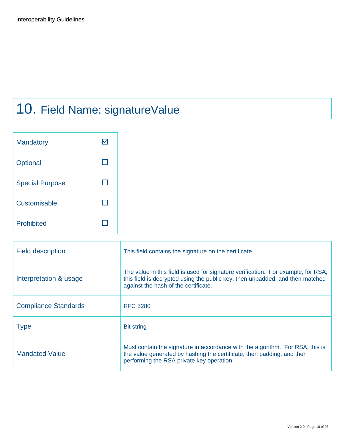## 10. Field Name: signatureValue

| <b>Mandatory</b>       |  |
|------------------------|--|
| Optional               |  |
| <b>Special Purpose</b> |  |
| Customisable           |  |
| <b>Prohibited</b>      |  |

| <b>Field description</b>    | This field contains the signature on the certificate                                                                                                                                                       |
|-----------------------------|------------------------------------------------------------------------------------------------------------------------------------------------------------------------------------------------------------|
| Interpretation & usage      | The value in this field is used for signature verification. For example, for RSA,<br>this field is decrypted using the public key, then unpadded, and then matched<br>against the hash of the certificate. |
| <b>Compliance Standards</b> | <b>RFC 5280</b>                                                                                                                                                                                            |
| <b>Type</b>                 | <b>Bit string</b>                                                                                                                                                                                          |
| <b>Mandated Value</b>       | Must contain the signature in accordance with the algorithm. For RSA, this is<br>the value generated by hashing the certificate, then padding, and then<br>performing the RSA private key operation.       |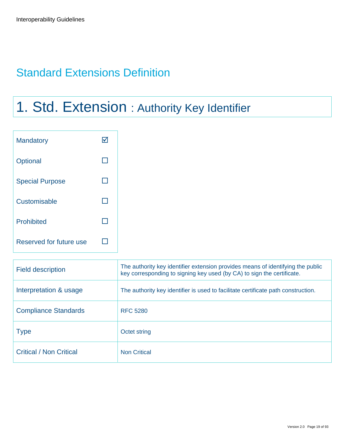### <span id="page-18-0"></span>Standard Extensions Definition

### 1. Std. Extension : Authority Key Identifier

| Mandatory               | $\blacktriangledown$ |
|-------------------------|----------------------|
| Optional                | $\Box$               |
| <b>Special Purpose</b>  | $\Box$               |
| Customisable            | $\Box$               |
| Prohibited              | П                    |
| Reserved for future use | $\Box$               |

| <b>Field description</b>       | The authority key identifier extension provides means of identifying the public<br>key corresponding to signing key used (by CA) to sign the certificate. |
|--------------------------------|-----------------------------------------------------------------------------------------------------------------------------------------------------------|
| Interpretation & usage         | The authority key identifier is used to facilitate certificate path construction.                                                                         |
| <b>Compliance Standards</b>    | <b>RFC 5280</b>                                                                                                                                           |
| <b>Type</b>                    | Octet string                                                                                                                                              |
| <b>Critical / Non Critical</b> | <b>Non Critical</b>                                                                                                                                       |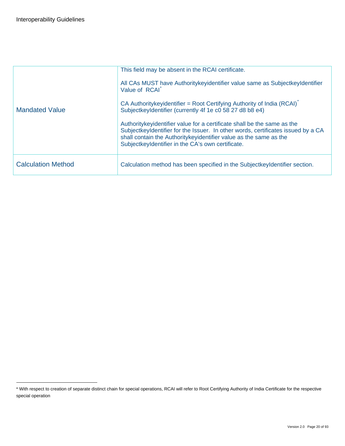-

|                           | This field may be absent in the RCAI certificate.                                                                                                                                                                                                                                       |
|---------------------------|-----------------------------------------------------------------------------------------------------------------------------------------------------------------------------------------------------------------------------------------------------------------------------------------|
|                           | All CAs MUST have Authority key identifier value same as Subject key Identifier<br>Value of RCAI                                                                                                                                                                                        |
| <b>Mandated Value</b>     | CA Authoritykeyidentifier = Root Certifying Authority of India (RCAI)<br>SubjectkeyIdentifier (currently 4f 1e c0 58 27 d8 b8 e4)                                                                                                                                                       |
|                           | Authoritykeyidentifier value for a certificate shall be the same as the<br>SubjectkeyIdentifier for the Issuer. In other words, certificates issued by a CA<br>shall contain the Authority key identifier value as the same as the<br>SubjectkeyIdentifier in the CA's own certificate. |
| <b>Calculation Method</b> | Calculation method has been specified in the Subject key Identifier section.                                                                                                                                                                                                            |

<span id="page-19-0"></span><sup>\*</sup> With respect to creation of separate distinct chain for special operations, RCAI will refer to Root Certifying Authority of India Certificate for the respective special operation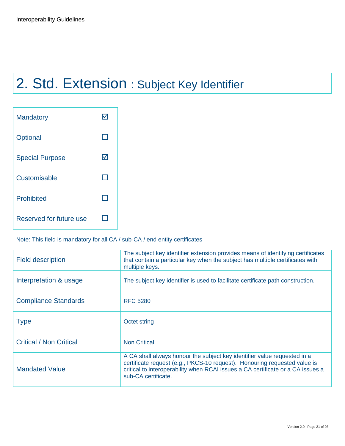## 2. Std. Extension : Subject Key Identifier

| <b>Mandatory</b>        |   |
|-------------------------|---|
| Optional                |   |
| <b>Special Purpose</b>  | M |
| Customisable            |   |
| <b>Prohibited</b>       |   |
| Reserved for future use |   |

### Note: This field is mandatory for all CA / sub-CA / end entity certificates

| <b>Field description</b>       | The subject key identifier extension provides means of identifying certificates<br>that contain a particular key when the subject has multiple certificates with<br>multiple keys.                                                                              |
|--------------------------------|-----------------------------------------------------------------------------------------------------------------------------------------------------------------------------------------------------------------------------------------------------------------|
| Interpretation & usage         | The subject key identifier is used to facilitate certificate path construction.                                                                                                                                                                                 |
| <b>Compliance Standards</b>    | <b>RFC 5280</b>                                                                                                                                                                                                                                                 |
| <b>Type</b>                    | Octet string                                                                                                                                                                                                                                                    |
| <b>Critical / Non Critical</b> | <b>Non Critical</b>                                                                                                                                                                                                                                             |
| <b>Mandated Value</b>          | A CA shall always honour the subject key identifier value requested in a<br>certificate request (e.g., PKCS-10 request). Honouring requested value is<br>critical to interoperability when RCAI issues a CA certificate or a CA issues a<br>sub-CA certificate. |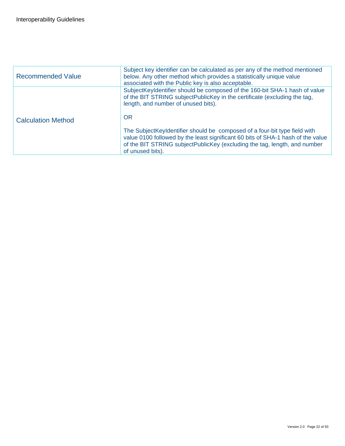| <b>Recommended Value</b>  | Subject key identifier can be calculated as per any of the method mentioned<br>below. Any other method which provides a statistically unique value<br>associated with the Public key is also acceptable.                                                      |
|---------------------------|---------------------------------------------------------------------------------------------------------------------------------------------------------------------------------------------------------------------------------------------------------------|
|                           | SubjectKeyIdentifier should be composed of the 160-bit SHA-1 hash of value<br>of the BIT STRING subjectPublicKey in the certificate (excluding the tag,<br>length, and number of unused bits).<br><b>OR</b>                                                   |
| <b>Calculation Method</b> | The SubjectKeyIdentifier should be composed of a four-bit type field with<br>value 0100 followed by the least significant 60 bits of SHA-1 hash of the value<br>of the BIT STRING subjectPublicKey (excluding the tag, length, and number<br>of unused bits). |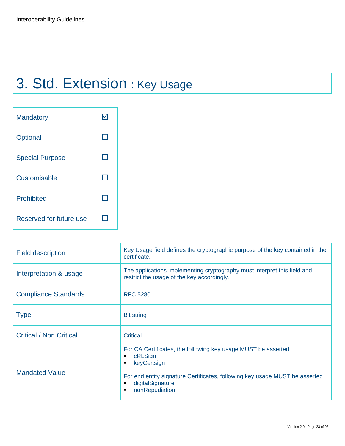## 3. Std. Extension : Key Usage

| <b>Mandatory</b>        |  |
|-------------------------|--|
| Optional                |  |
| <b>Special Purpose</b>  |  |
| Customisable            |  |
| <b>Prohibited</b>       |  |
| Reserved for future use |  |

| <b>Field description</b>       | Key Usage field defines the cryptographic purpose of the key contained in the<br>certificate.                                                                                                                                    |
|--------------------------------|----------------------------------------------------------------------------------------------------------------------------------------------------------------------------------------------------------------------------------|
| Interpretation & usage         | The applications implementing cryptography must interpret this field and<br>restrict the usage of the key accordingly.                                                                                                           |
| <b>Compliance Standards</b>    | <b>RFC 5280</b>                                                                                                                                                                                                                  |
| <b>Type</b>                    | <b>Bit string</b>                                                                                                                                                                                                                |
| <b>Critical / Non Critical</b> | Critical                                                                                                                                                                                                                         |
| <b>Mandated Value</b>          | For CA Certificates, the following key usage MUST be asserted<br>cRLSign<br>٠<br>keyCertsign<br>٠<br>For end entity signature Certificates, following key usage MUST be asserted<br>digitalSignature<br>٠<br>nonRepudiation<br>٠ |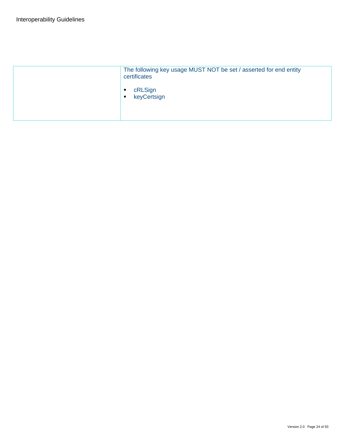| The following key usage MUST NOT be set / asserted for end entity<br>certificates |
|-----------------------------------------------------------------------------------|
| cRLSign<br>keyCertsign<br>$\blacksquare$                                          |
|                                                                                   |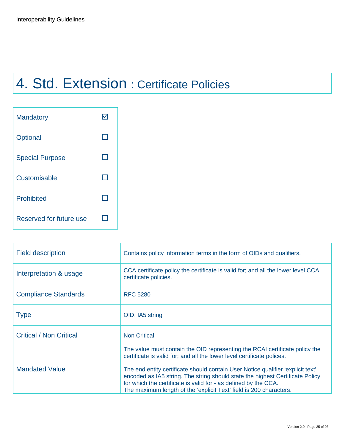## 4. Std. Extension : Certificate Policies

| <b>Mandatory</b>        |  |
|-------------------------|--|
| Optional                |  |
| <b>Special Purpose</b>  |  |
| Customisable            |  |
| <b>Prohibited</b>       |  |
| Reserved for future use |  |

| <b>Field description</b>       | Contains policy information terms in the form of OIDs and qualifiers.                                                                                                                                                                                                                                     |
|--------------------------------|-----------------------------------------------------------------------------------------------------------------------------------------------------------------------------------------------------------------------------------------------------------------------------------------------------------|
| Interpretation & usage         | CCA certificate policy the certificate is valid for; and all the lower level CCA<br>certificate policies.                                                                                                                                                                                                 |
| <b>Compliance Standards</b>    | <b>RFC 5280</b>                                                                                                                                                                                                                                                                                           |
| <b>Type</b>                    | OID, IA5 string                                                                                                                                                                                                                                                                                           |
| <b>Critical / Non Critical</b> | <b>Non Critical</b>                                                                                                                                                                                                                                                                                       |
|                                | The value must contain the OID representing the RCAI certificate policy the<br>certificate is valid for; and all the lower level certificate polices.                                                                                                                                                     |
| <b>Mandated Value</b>          | The end entity certificate should contain User Notice qualifier 'explicit text'<br>encoded as IA5 string. The string should state the highest Certificate Policy<br>for which the certificate is valid for - as defined by the CCA.<br>The maximum length of the 'explicit Text' field is 200 characters. |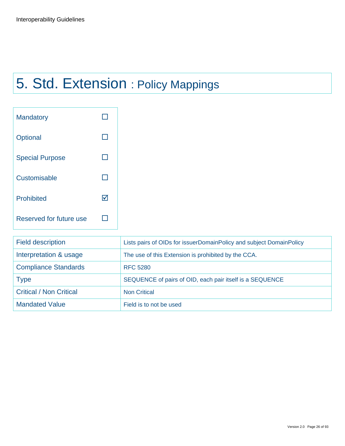## 5. Std. Extension : Policy Mappings

| <b>Mandatory</b>        |    |
|-------------------------|----|
| Optional                |    |
| <b>Special Purpose</b>  |    |
| Customisable            |    |
| <b>Prohibited</b>       | IV |
| Reserved for future use |    |

| <b>Field description</b>       | Lists pairs of OIDs for issuerDomainPolicy and subject DomainPolicy |
|--------------------------------|---------------------------------------------------------------------|
| Interpretation & usage         | The use of this Extension is prohibited by the CCA.                 |
| <b>Compliance Standards</b>    | <b>RFC 5280</b>                                                     |
| <b>Type</b>                    | SEQUENCE of pairs of OID, each pair itself is a SEQUENCE            |
| <b>Critical / Non Critical</b> | <b>Non Critical</b>                                                 |
| <b>Mandated Value</b>          | Field is to not be used                                             |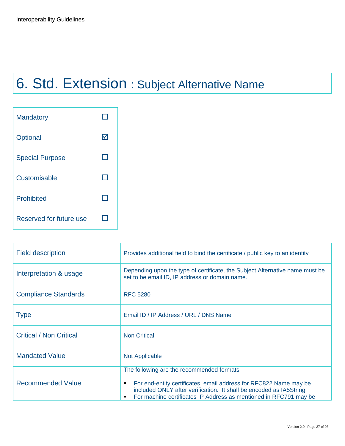# 6. Std. Extension : Subject Alternative Name

| <b>Mandatory</b>        |   |
|-------------------------|---|
| Optional                | M |
| <b>Special Purpose</b>  |   |
| Customisable            |   |
| <b>Prohibited</b>       |   |
| Reserved for future use |   |

| <b>Field description</b>       | Provides additional field to bind the certificate / public key to an identity                                                                                                                                                                                       |
|--------------------------------|---------------------------------------------------------------------------------------------------------------------------------------------------------------------------------------------------------------------------------------------------------------------|
| Interpretation & usage         | Depending upon the type of certificate, the Subject Alternative name must be<br>set to be email ID, IP address or domain name.                                                                                                                                      |
| <b>Compliance Standards</b>    | <b>RFC 5280</b>                                                                                                                                                                                                                                                     |
| <b>Type</b>                    | Email ID / IP Address / URL / DNS Name                                                                                                                                                                                                                              |
| <b>Critical / Non Critical</b> | <b>Non Critical</b>                                                                                                                                                                                                                                                 |
| <b>Mandated Value</b>          | <b>Not Applicable</b>                                                                                                                                                                                                                                               |
| <b>Recommended Value</b>       | The following are the recommended formats<br>For end-entity certificates, email address for RFC822 Name may be<br>٠<br>included ONLY after verification. It shall be encoded as IA5String<br>For machine certificates IP Address as mentioned in RFC791 may be<br>٠ |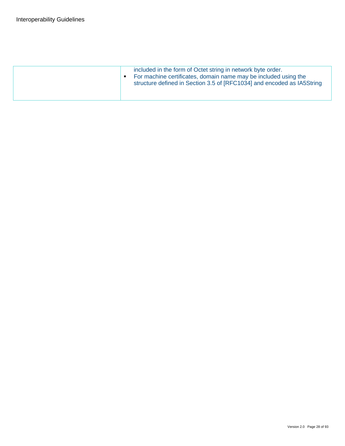| included in the form of Octet string in network byte order.<br>For machine certificates, domain name may be included using the<br>п<br>structure defined in Section 3.5 of [RFC1034] and encoded as IA5String |
|---------------------------------------------------------------------------------------------------------------------------------------------------------------------------------------------------------------|
|                                                                                                                                                                                                               |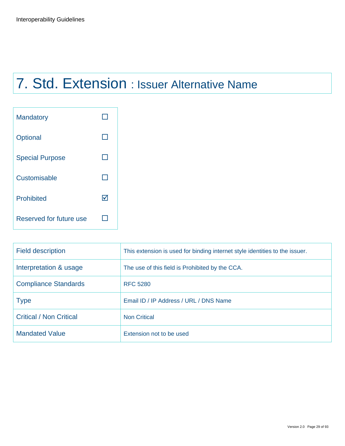## 7. Std. Extension : Issuer Alternative Name

| <b>Mandatory</b>        |   |
|-------------------------|---|
| Optional                |   |
| <b>Special Purpose</b>  |   |
| Customisable            |   |
| <b>Prohibited</b>       | M |
| Reserved for future use |   |

| <b>Field description</b>       | This extension is used for binding internet style identities to the issuer. |
|--------------------------------|-----------------------------------------------------------------------------|
| Interpretation & usage         | The use of this field is Prohibited by the CCA.                             |
| <b>Compliance Standards</b>    | <b>RFC 5280</b>                                                             |
| <b>Type</b>                    | Email ID / IP Address / URL / DNS Name                                      |
| <b>Critical / Non Critical</b> | <b>Non Critical</b>                                                         |
| <b>Mandated Value</b>          | Extension not to be used                                                    |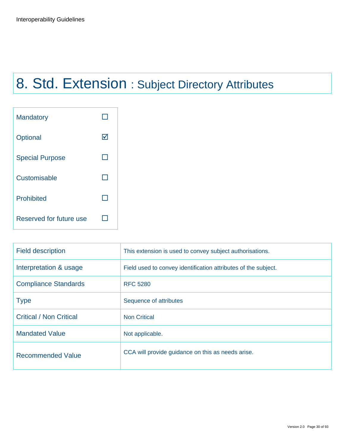# 8. Std. Extension : Subject Directory Attributes

| <b>Mandatory</b>        |   |
|-------------------------|---|
| Optional                | ⋈ |
| <b>Special Purpose</b>  |   |
| Customisable            |   |
| <b>Prohibited</b>       |   |
| Reserved for future use |   |

| <b>Field description</b>       | This extension is used to convey subject authorisations.       |
|--------------------------------|----------------------------------------------------------------|
| Interpretation & usage         | Field used to convey identification attributes of the subject. |
| <b>Compliance Standards</b>    | <b>RFC 5280</b>                                                |
| <b>Type</b>                    | Sequence of attributes                                         |
| <b>Critical / Non Critical</b> | <b>Non Critical</b>                                            |
| <b>Mandated Value</b>          | Not applicable.                                                |
| <b>Recommended Value</b>       | CCA will provide guidance on this as needs arise.              |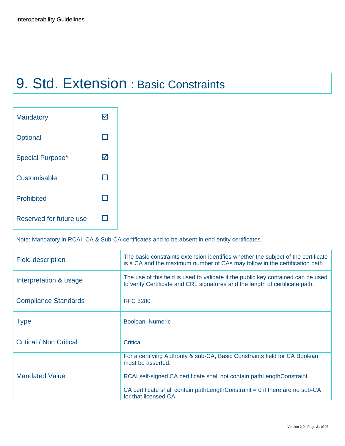## 9. Std. Extension : Basic Constraints

| <b>Mandatory</b>        |    |
|-------------------------|----|
| Optional                |    |
| <b>Special Purpose*</b> | I√ |
| Customisable            |    |
| <b>Prohibited</b>       |    |
| Reserved for future use |    |

Note: Mandatory in RCAI, CA & Sub-CA certificates and to be absent in end entity certificates.

| <b>Field description</b>       | The basic constraints extension identifies whether the subject of the certificate<br>is a CA and the maximum number of CAs may follow in the certification path                                                                                                                        |
|--------------------------------|----------------------------------------------------------------------------------------------------------------------------------------------------------------------------------------------------------------------------------------------------------------------------------------|
| Interpretation & usage         | The use of this field is used to validate if the public key contained can be used<br>to verify Certificate and CRL signatures and the length of certificate path.                                                                                                                      |
| <b>Compliance Standards</b>    | <b>RFC 5280</b>                                                                                                                                                                                                                                                                        |
| <b>Type</b>                    | Boolean, Numeric                                                                                                                                                                                                                                                                       |
| <b>Critical / Non Critical</b> | Critical                                                                                                                                                                                                                                                                               |
| <b>Mandated Value</b>          | For a certifying Authority & sub-CA, Basic Constraints field for CA Boolean<br>must be asserted.<br>RCAI self-signed CA certificate shall not contain pathLengthConstraint.<br>CA certificate shall contain pathLengthConstraint = $0$ if there are no sub-CA<br>for that licensed CA. |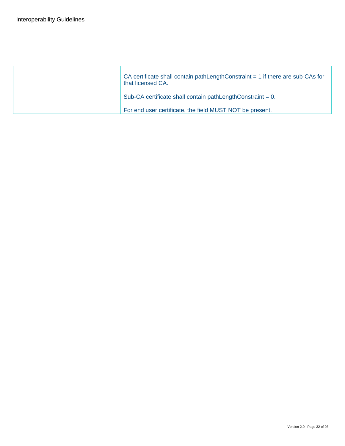| CA certificate shall contain pathLengthConstraint $= 1$ if there are sub-CAs for<br>that licensed CA. |
|-------------------------------------------------------------------------------------------------------|
| Sub-CA certificate shall contain pathLengthConstraint = 0.                                            |
| For end user certificate, the field MUST NOT be present.                                              |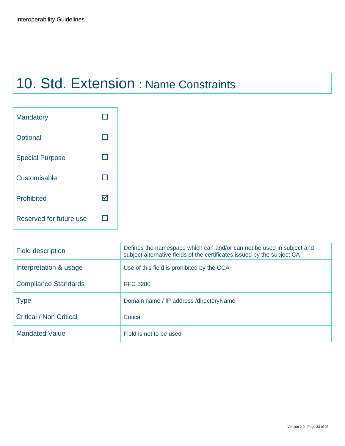## 10. Std. Extension : Name Constraints

| <b>Mandatory</b>        |   |
|-------------------------|---|
| Optional                |   |
| <b>Special Purpose</b>  |   |
| Customisable            |   |
| <b>Prohibited</b>       | M |
| Reserved for future use |   |

| <b>Field description</b>       | Defines the namespace which can and/or can not be used in subject and<br>subject alternative fields of the certificates issued by the subject CA |
|--------------------------------|--------------------------------------------------------------------------------------------------------------------------------------------------|
| Interpretation & usage         | Use of this field is prohibited by the CCA                                                                                                       |
| <b>Compliance Standards</b>    | <b>RFC 5280</b>                                                                                                                                  |
| <b>Type</b>                    | Domain name / IP address / directory Name                                                                                                        |
| <b>Critical / Non Critical</b> | Critical                                                                                                                                         |
| <b>Mandated Value</b>          | Field is not to be used                                                                                                                          |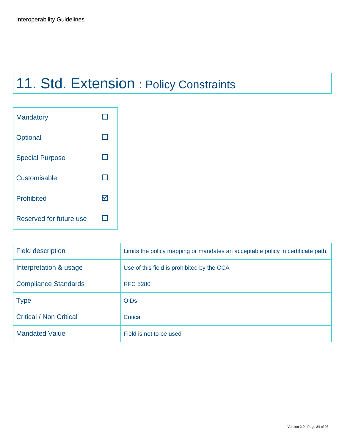## 11. Std. Extension : Policy Constraints

| <b>Mandatory</b>        |   |
|-------------------------|---|
| Optional                |   |
| <b>Special Purpose</b>  |   |
| Customisable            |   |
| <b>Prohibited</b>       | M |
| Reserved for future use |   |

| <b>Field description</b>       | Limits the policy mapping or mandates an acceptable policy in certificate path. |
|--------------------------------|---------------------------------------------------------------------------------|
| Interpretation & usage         | Use of this field is prohibited by the CCA                                      |
| <b>Compliance Standards</b>    | <b>RFC 5280</b>                                                                 |
| <b>Type</b>                    | <b>OIDs</b>                                                                     |
| <b>Critical / Non Critical</b> | <b>Critical</b>                                                                 |
| <b>Mandated Value</b>          | Field is not to be used                                                         |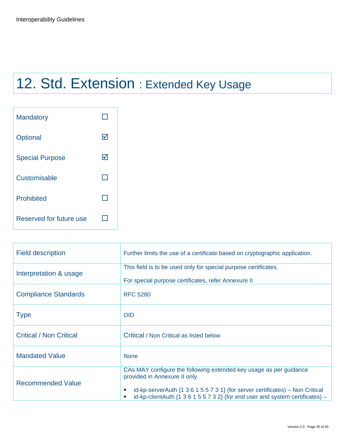## 12. Std. Extension : Extended Key Usage

| <b>Mandatory</b>        |   |
|-------------------------|---|
| Optional                | M |
| <b>Special Purpose</b>  | ⋈ |
| Customisable            |   |
| <b>Prohibited</b>       |   |
| Reserved for future use |   |

| <b>Field description</b>       | Further limits the use of a certificate based on cryptographic application.                                                                                                                                                                                                                            |
|--------------------------------|--------------------------------------------------------------------------------------------------------------------------------------------------------------------------------------------------------------------------------------------------------------------------------------------------------|
| Interpretation & usage         | This field is to be used only for special purpose certificates.<br>For special purpose certificates, refer Annexure II                                                                                                                                                                                 |
| <b>Compliance Standards</b>    | <b>RFC 5280</b>                                                                                                                                                                                                                                                                                        |
| <b>Type</b>                    | <b>OID</b>                                                                                                                                                                                                                                                                                             |
| <b>Critical / Non Critical</b> | Critical / Non Critical as listed below                                                                                                                                                                                                                                                                |
| <b>Mandated Value</b>          | <b>None</b>                                                                                                                                                                                                                                                                                            |
| <b>Recommended Value</b>       | CAs MAY configure the following extended key usage as per guidance<br>provided in Annexure II only<br>id-kp-serverAuth $\{1\ 3\ 6\ 1\ 5\ 5\ 7\ 3\ 1\}$ (for server certificates) – Non Critical<br>٠<br>id-kp-clientAuth $\{1\ 3\ 6\ 1\ 5\ 5\ 7\ 3\ 2\}$ (for end user and system certificates) –<br>٠ |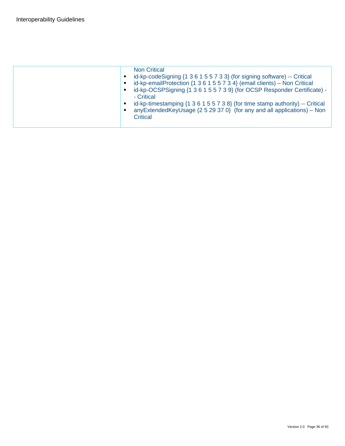|  | <b>Non Critical</b><br>id-kp-codeSigning {1 3 6 1 5 5 7 3 3} (for signing software) -- Critical<br>٠<br>id-kp-emailProtection {1 3 6 1 5 5 7 3 4} (email clients) - Non Critical<br>id-kp-OCSPSigning {1 3 6 1 5 5 7 3 9} (for OCSP Responder Certificate) -<br>п<br>- Critical<br>id-kp-timestamping {1 3 6 1 5 5 7 3 8} (for time stamp authority) -- Critical<br>Е<br>anyExtendedKeyUsage {2 5 29 37 0} (for any and all applications) – Non<br>п<br>Critical |
|--|------------------------------------------------------------------------------------------------------------------------------------------------------------------------------------------------------------------------------------------------------------------------------------------------------------------------------------------------------------------------------------------------------------------------------------------------------------------|
|  |                                                                                                                                                                                                                                                                                                                                                                                                                                                                  |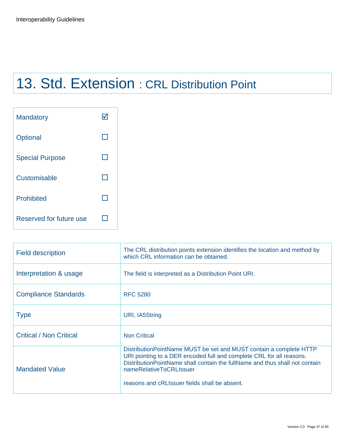# 13. Std. Extension : CRL Distribution Point

| <b>Mandatory</b>        |  |
|-------------------------|--|
| Optional                |  |
| <b>Special Purpose</b>  |  |
| Customisable            |  |
| <b>Prohibited</b>       |  |
| Reserved for future use |  |

| <b>Field description</b>       | The CRL distribution points extension identifies the location and method by<br>which CRL information can be obtained.                                                                                                                                                                                      |
|--------------------------------|------------------------------------------------------------------------------------------------------------------------------------------------------------------------------------------------------------------------------------------------------------------------------------------------------------|
| Interpretation & usage         | The field is interpreted as a Distribution Point URI.                                                                                                                                                                                                                                                      |
| <b>Compliance Standards</b>    | <b>RFC 5280</b>                                                                                                                                                                                                                                                                                            |
| <b>Type</b>                    | URI, IA5String                                                                                                                                                                                                                                                                                             |
| <b>Critical / Non Critical</b> | <b>Non Critical</b>                                                                                                                                                                                                                                                                                        |
| <b>Mandated Value</b>          | Distribution Point Name MUST be set and MUST contain a complete HTTP<br>URI pointing to a DER encoded full and complete CRL for all reasons.<br>Distribution Point Name shall contain the full Name and thus shall not contain<br>nameRelativeToCRLIssuer<br>reasons and cRLIssuer fields shall be absent. |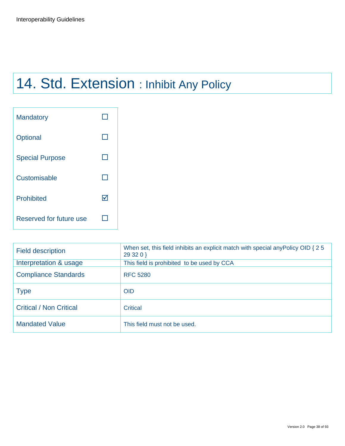# 14. Std. Extension : Inhibit Any Policy

| <b>Mandatory</b>        |   |
|-------------------------|---|
| Optional                |   |
| <b>Special Purpose</b>  |   |
| Customisable            |   |
| <b>Prohibited</b>       | M |
| Reserved for future use |   |

| <b>Field description</b>       | When set, this field inhibits an explicit match with special any Policy OID { 2 5<br>29 32 0 } |
|--------------------------------|------------------------------------------------------------------------------------------------|
| Interpretation & usage         | This field is prohibited to be used by CCA                                                     |
| <b>Compliance Standards</b>    | <b>RFC 5280</b>                                                                                |
| <b>Type</b>                    | <b>OID</b>                                                                                     |
| <b>Critical / Non Critical</b> | <b>Critical</b>                                                                                |
| <b>Mandated Value</b>          | This field must not be used.                                                                   |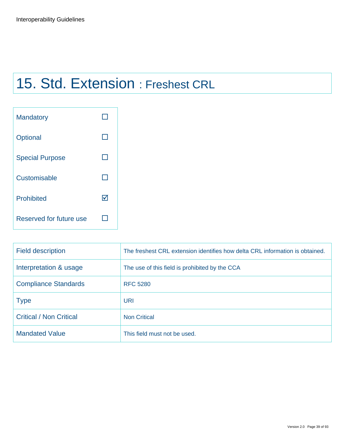# 15. Std. Extension : Freshest CRL

| <b>Mandatory</b>        |   |
|-------------------------|---|
| Optional                |   |
| <b>Special Purpose</b>  |   |
| Customisable            |   |
| <b>Prohibited</b>       | M |
| Reserved for future use |   |

| <b>Field description</b>       | The freshest CRL extension identifies how delta CRL information is obtained. |
|--------------------------------|------------------------------------------------------------------------------|
| Interpretation & usage         | The use of this field is prohibited by the CCA                               |
| <b>Compliance Standards</b>    | <b>RFC 5280</b>                                                              |
| <b>Type</b>                    | URI                                                                          |
| <b>Critical / Non Critical</b> | <b>Non Critical</b>                                                          |
| <b>Mandated Value</b>          | This field must not be used.                                                 |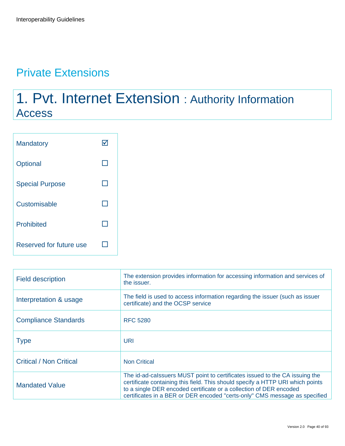## Private Extensions

## 1. Pvt. Internet Extension : Authority Information Access

| <b>Mandatory</b>        |  |
|-------------------------|--|
| Optional                |  |
| <b>Special Purpose</b>  |  |
| Customisable            |  |
| <b>Prohibited</b>       |  |
| Reserved for future use |  |

| <b>Field description</b>       | The extension provides information for accessing information and services of<br>the issuer.                                                                                                                                                                                                                       |
|--------------------------------|-------------------------------------------------------------------------------------------------------------------------------------------------------------------------------------------------------------------------------------------------------------------------------------------------------------------|
| Interpretation & usage         | The field is used to access information regarding the issuer (such as issuer<br>certificate) and the OCSP service                                                                                                                                                                                                 |
| <b>Compliance Standards</b>    | <b>RFC 5280</b>                                                                                                                                                                                                                                                                                                   |
| <b>Type</b>                    | URI                                                                                                                                                                                                                                                                                                               |
| <b>Critical / Non Critical</b> | <b>Non Critical</b>                                                                                                                                                                                                                                                                                               |
| <b>Mandated Value</b>          | The id-ad-calssuers MUST point to certificates issued to the CA issuing the<br>certificate containing this field. This should specify a HTTP URI which points<br>to a single DER encoded certificate or a collection of DER encoded<br>certificates in a BER or DER encoded "certs-only" CMS message as specified |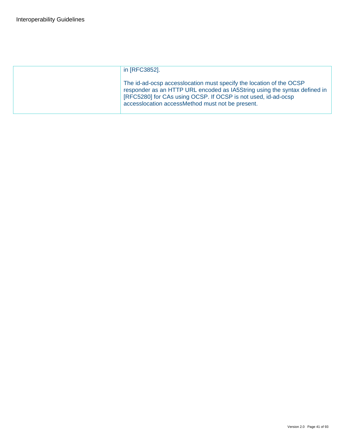| in [RFC3852].                                                                                                                                                                                                                                                          |
|------------------------------------------------------------------------------------------------------------------------------------------------------------------------------------------------------------------------------------------------------------------------|
| The id-ad-ocsp access location must specify the location of the OCSP<br>responder as an HTTP URL encoded as IA5String using the syntax defined in<br>[RFC5280] for CAs using OCSP. If OCSP is not used, id-ad-ocsp<br>accesslocation accessMethod must not be present. |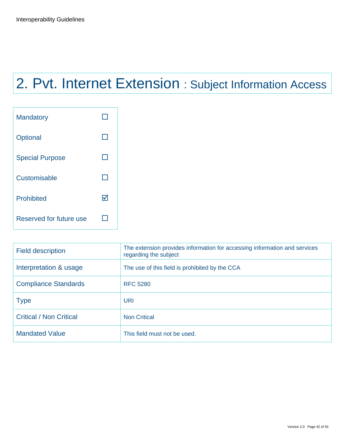# 2. Pvt. Internet Extension : Subject Information Access

| <b>Mandatory</b>        |  |
|-------------------------|--|
| Optional                |  |
| <b>Special Purpose</b>  |  |
| Customisable            |  |
| <b>Prohibited</b>       |  |
| Reserved for future use |  |

| <b>Field description</b>       | The extension provides information for accessing information and services<br>regarding the subject |
|--------------------------------|----------------------------------------------------------------------------------------------------|
| Interpretation & usage         | The use of this field is prohibited by the CCA                                                     |
| <b>Compliance Standards</b>    | <b>RFC 5280</b>                                                                                    |
| <b>Type</b>                    | URI                                                                                                |
| <b>Critical / Non Critical</b> | <b>Non Critical</b>                                                                                |
| <b>Mandated Value</b>          | This field must not be used.                                                                       |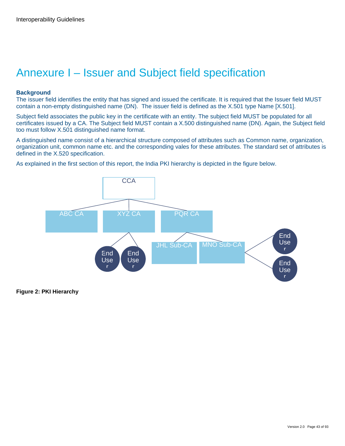## Annexure I – Issuer and Subject field specification

#### **Background**

The issuer field identifies the entity that has signed and issued the certificate. It is required that the Issuer field MUST contain a non-empty distinguished name (DN). The issuer field is defined as the X.501 type Name [X.501].

Subject field associates the public key in the certificate with an entity. The subject field MUST be populated for all certificates issued by a CA. The Subject field MUST contain a X.500 distinguished name (DN). Again, the Subject field too must follow X.501 distinguished name format.

A distinguished name consist of a hierarchical structure composed of attributes such as Common name, organization, organization unit, common name etc. and the corresponding vales for these attributes. The standard set of attributes is defined in the X.520 specification.

As explained in the first section of this report, the India PKI hierarchy is depicted in the figure below.



**Figure 2: PKI Hierarchy**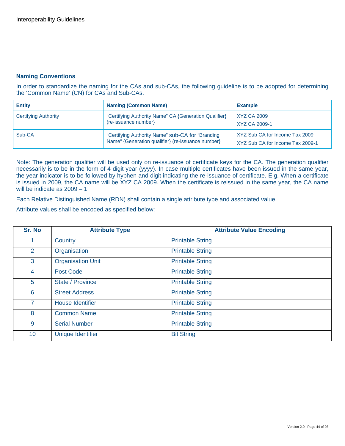#### **Naming Conventions**

In order to standardize the naming for the CAs and sub-CAs, the following guideline is to be adopted for determining the 'Common Name' (CN) for CAs and Sub-CAs.

| <b>Entity</b>               | <b>Naming (Common Name)</b>                                                                           | <b>Example</b>                                                     |
|-----------------------------|-------------------------------------------------------------------------------------------------------|--------------------------------------------------------------------|
| <b>Certifying Authority</b> | "Certifying Authority Name" CA {Generation Qualifier}<br>(re-issuance number)                         | XYZ CA 2009<br>XYZ CA 2009-1                                       |
| Sub-CA                      | "Certifying Authority Name" sub-CA for "Branding<br>Name" {Generation qualifier} (re-issuance number} | XYZ Sub CA for Income Tax 2009<br>XYZ Sub CA for Income Tax 2009-1 |

Note: The generation qualifier will be used only on re-issuance of certificate keys for the CA. The generation qualifier necessarily is to be in the form of 4 digit year (yyyy). In case multiple certificates have been issued in the same year, the year indicator is to be followed by hyphen and digit indicating the re-issuance of certificate. E.g. When a certificate is issued in 2009, the CA name will be XYZ CA 2009. When the certificate is reissued in the same year, the CA name will be indicate as 2009 – 1.

Each Relative Distinguished Name (RDN) shall contain a single attribute type and associated value.

Attribute values shall be encoded as specified below:

| Sr. No         | <b>Attribute Type</b>    | <b>Attribute Value Encoding</b> |
|----------------|--------------------------|---------------------------------|
|                | Country                  | <b>Printable String</b>         |
| $\overline{2}$ | Organisation             | <b>Printable String</b>         |
| 3              | <b>Organisation Unit</b> | <b>Printable String</b>         |
| 4              | <b>Post Code</b>         | <b>Printable String</b>         |
| 5              | State / Province         | <b>Printable String</b>         |
| 6              | <b>Street Address</b>    | <b>Printable String</b>         |
| $\overline{7}$ | <b>House Identifier</b>  | <b>Printable String</b>         |
| 8              | <b>Common Name</b>       | <b>Printable String</b>         |
| 9              | <b>Serial Number</b>     | <b>Printable String</b>         |
| 10             | <b>Unique Identifier</b> | <b>Bit String</b>               |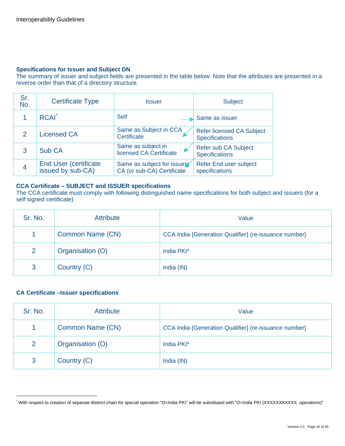#### **Specifications for Issuer and Subject DN**

The summary of issuer and subject fields are presented in the table below. Note that the attributes are presented in a reverse order than that of a directory structure.

| Sr.<br>No.    | <b>Certificate Type</b>                            | Issuer                                                    | <b>Subject</b>                                            |
|---------------|----------------------------------------------------|-----------------------------------------------------------|-----------------------------------------------------------|
|               | <b>RCAI</b> <sup>*</sup>                           | <b>Self</b>                                               | Same as issuer                                            |
| $\mathcal{P}$ | <b>Licensed CA</b>                                 | Same as Subject in CCA<br>Certificate                     | <b>Refer licensed CA Subject</b><br><b>Specifications</b> |
| 3             | Sub CA                                             | Same as subject in<br>licensed CA Certificate             | Refer sub CA Subject<br><b>Specifications</b>             |
| 4             | <b>End User (certificate)</b><br>issued by sub-CA) | Same as subject for issuing<br>CA (or sub-CA) Certificate | Refer End user subject<br>specifications                  |

#### **CCA Certificate – SUBJECT and ISSUER specifications**

The CCA certificate must comply with following distinguished name specifications for both subject and issuers (for a self signed certificate)

| Sr. No.        | <b>Attribute</b> | Value                                                 |
|----------------|------------------|-------------------------------------------------------|
|                | Common Name (CN) | CCA India {Generation Qualifier} (re-issuance number} |
| $\overline{2}$ | Organisation (O) | India PKI*                                            |
| 3              | Country (C)      | India (IN)                                            |

#### **CA Certificate –Issuer specifications**

| Sr. No. | <b>Attribute</b> | Value                                                 |
|---------|------------------|-------------------------------------------------------|
| 1       | Common Name (CN) | CCA India {Generation Qualifier} (re-issuance number} |
| 2       | Organisation (O) | India PKI*                                            |
| 3       | Country (C)      | India (IN)                                            |

<span id="page-44-0"></span><sup>\*</sup> With respect to creation of separate distinct chain for special operation "O=India PKI" will be substituted with "O=India PKI (XXXXXXXXXXX operations)"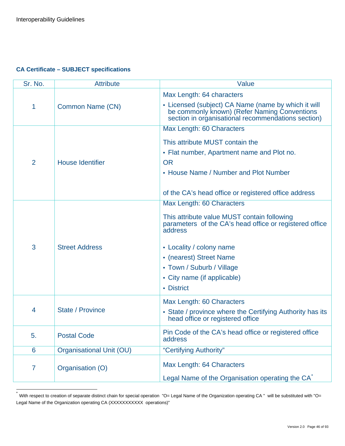#### **CA Certificate – SUBJECT specifications**

| Sr. No.        | <b>Attribute</b>                | Value                                                                                                                                                                                                                                                                           |
|----------------|---------------------------------|---------------------------------------------------------------------------------------------------------------------------------------------------------------------------------------------------------------------------------------------------------------------------------|
| 1              | Common Name (CN)                | Max Length: 64 characters<br>• Licensed (subject) CA Name (name by which it will<br>be commonly known) (Refer Naming Conventions<br>section in organisational recommendations section)                                                                                          |
| $\overline{2}$ | <b>House Identifier</b>         | Max Length: 60 Characters<br>This attribute MUST contain the<br>• Flat number, Apartment name and Plot no.<br><b>OR</b><br>• House Name / Number and Plot Number<br>of the CA's head office or registered office address                                                        |
| 3              | <b>Street Address</b>           | Max Length: 60 Characters<br>This attribute value MUST contain following<br>parameters of the CA's head office or registered office<br>address<br>• Locality / colony name<br>• (nearest) Street Name<br>• Town / Suburb / Village<br>• City name (if applicable)<br>• District |
| $\overline{4}$ | State / Province                | Max Length: 60 Characters<br>• State / province where the Certifying Authority has its<br>head office or registered office                                                                                                                                                      |
| 5.             | <b>Postal Code</b>              | Pin Code of the CA's head office or registered office<br>address                                                                                                                                                                                                                |
| 6              | <b>Organisational Unit (OU)</b> | "Certifying Authority"                                                                                                                                                                                                                                                          |
| $\overline{7}$ | Organisation (O)                | Max Length: 64 Characters<br>Legal Name of the Organisation operating the CA                                                                                                                                                                                                    |

<span id="page-45-0"></span> $\star$ With respect to creation of separate distinct chain for special operation "O= Legal Name of the Organization operating CA " will be substituted with "O= Legal Name of the Organization operating CA (XXXXXXXXXX operations)"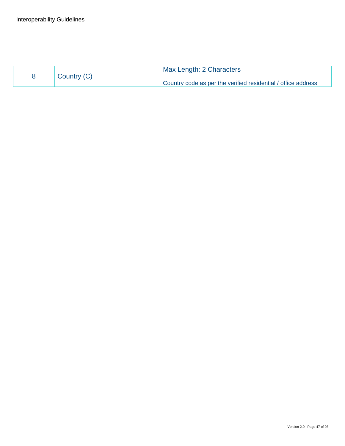| Country (C) | Max Length: 2 Characters                                      |
|-------------|---------------------------------------------------------------|
|             | Country code as per the verified residential / office address |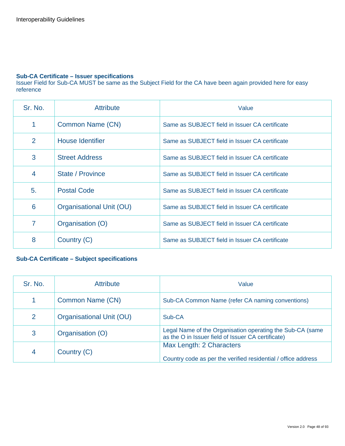#### **Sub-CA Certificate – Issuer specifications**

Issuer Field for Sub-CA MUST be same as the Subject Field for the CA have been again provided here for easy reference

| Sr. No.        | <b>Attribute</b>         | Value                                          |
|----------------|--------------------------|------------------------------------------------|
| 1              | Common Name (CN)         | Same as SUBJECT field in Issuer CA certificate |
| 2              | <b>House Identifier</b>  | Same as SUBJECT field in Issuer CA certificate |
| 3              | <b>Street Address</b>    | Same as SUBJECT field in Issuer CA certificate |
| $\overline{4}$ | State / Province         | Same as SUBJECT field in Issuer CA certificate |
| 5.             | <b>Postal Code</b>       | Same as SUBJECT field in Issuer CA certificate |
| 6              | Organisational Unit (OU) | Same as SUBJECT field in Issuer CA certificate |
| 7              | Organisation (O)         | Same as SUBJECT field in Issuer CA certificate |
| 8              | Country (C)              | Same as SUBJECT field in Issuer CA certificate |

#### **Sub-CA Certificate – Subject specifications**

| Sr. No. | <b>Attribute</b>         | Value                                                                                                           |
|---------|--------------------------|-----------------------------------------------------------------------------------------------------------------|
| 1       | Common Name (CN)         | Sub-CA Common Name (refer CA naming conventions)                                                                |
| 2       | Organisational Unit (OU) | Sub-CA                                                                                                          |
| 3       | Organisation (O)         | Legal Name of the Organisation operating the Sub-CA (same<br>as the O in Issuer field of Issuer CA certificate) |
| 4       | Country (C)              | Max Length: 2 Characters<br>Country code as per the verified residential / office address                       |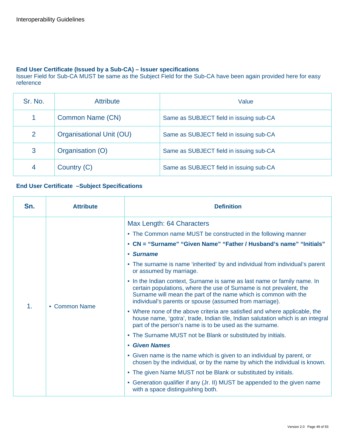#### **End User Certificate (Issued by a Sub-CA) – Issuer specifications**

Issuer Field for Sub-CA MUST be same as the Subject Field for the Sub-CA have been again provided here for easy reference

| Sr. No. | <b>Attribute</b>         | Value                                   |
|---------|--------------------------|-----------------------------------------|
|         | Common Name (CN)         | Same as SUBJECT field in issuing sub-CA |
| 2       | Organisational Unit (OU) | Same as SUBJECT field in issuing sub-CA |
| 3       | Organisation (O)         | Same as SUBJECT field in issuing sub-CA |
| 4       | Country (C)              | Same as SUBJECT field in issuing sub-CA |

#### **End User Certificate –Subject Specifications**

| Sn.           | <b>Attribute</b> | <b>Definition</b>                                                                                                                                                                                                                                                                                                                                                                                                                                                                                                                                                                                                                                                                                                                                                                                                                                                                                                                                                                                                                                                                                                                                                                                                                 |
|---------------|------------------|-----------------------------------------------------------------------------------------------------------------------------------------------------------------------------------------------------------------------------------------------------------------------------------------------------------------------------------------------------------------------------------------------------------------------------------------------------------------------------------------------------------------------------------------------------------------------------------------------------------------------------------------------------------------------------------------------------------------------------------------------------------------------------------------------------------------------------------------------------------------------------------------------------------------------------------------------------------------------------------------------------------------------------------------------------------------------------------------------------------------------------------------------------------------------------------------------------------------------------------|
| $\mathbf 1$ . | • Common Name    | Max Length: 64 Characters<br>• The Common name MUST be constructed in the following manner<br>• CN = "Surname" "Given Name" "Father / Husband's name" "Initials"<br>• Surname<br>• The surname is name 'inherited' by and individual from individual's parent<br>or assumed by marriage.<br>• In the Indian context, Surname is same as last name or family name. In<br>certain populations, where the use of Surname is not prevalent, the<br>Surname will mean the part of the name which is common with the<br>individual's parents or spouse (assumed from marriage).<br>• Where none of the above criteria are satisfied and where applicable, the<br>house name, 'gotra', trade, Indian tile, Indian salutation which is an integral<br>part of the person's name is to be used as the surname.<br>• The Surname MUST not be Blank or substituted by initials.<br>• Given Names<br>• Given name is the name which is given to an individual by parent, or<br>chosen by the individual, or by the name by which the individual is known.<br>• The given Name MUST not be Blank or substituted by initials.<br>• Generation qualifier if any (Jr. II) MUST be appended to the given name<br>with a space distinguishing both. |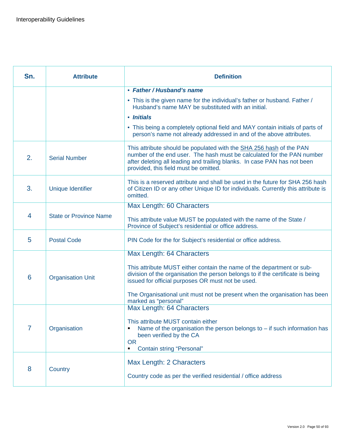| Sn. | <b>Attribute</b>              | <b>Definition</b>                                                                                                                                                                                                                                                  |
|-----|-------------------------------|--------------------------------------------------------------------------------------------------------------------------------------------------------------------------------------------------------------------------------------------------------------------|
|     |                               | • Father / Husband's name                                                                                                                                                                                                                                          |
|     |                               | • This is the given name for the individual's father or husband. Father /<br>Husband's name MAY be substituted with an initial.                                                                                                                                    |
|     |                               | • Initials                                                                                                                                                                                                                                                         |
|     |                               | • This being a completely optional field and MAY contain initials of parts of<br>person's name not already addressed in and of the above attributes.                                                                                                               |
| 2.  | <b>Serial Number</b>          | This attribute should be populated with the SHA 256 hash of the PAN<br>number of the end user. The hash must be calculated for the PAN number<br>after deleting all leading and trailing blanks. In case PAN has not been<br>provided, this field must be omitted. |
| 3.  | Unique Identifier             | This is a reserved attribute and shall be used in the future for SHA 256 hash<br>of Citizen ID or any other Unique ID for individuals. Currently this attribute is<br>omitted.                                                                                     |
|     |                               | Max Length: 60 Characters                                                                                                                                                                                                                                          |
| 4   | <b>State or Province Name</b> | This attribute value MUST be populated with the name of the State /<br>Province of Subject's residential or office address.                                                                                                                                        |
| 5   | <b>Postal Code</b>            | PIN Code for the for Subject's residential or office address.                                                                                                                                                                                                      |
|     |                               | Max Length: 64 Characters                                                                                                                                                                                                                                          |
| 6   | <b>Organisation Unit</b>      | This attribute MUST either contain the name of the department or sub-<br>division of the organisation the person belongs to if the certificate is being<br>issued for official purposes OR must not be used.                                                       |
|     |                               | The Organisational unit must not be present when the organisation has been<br>marked as "personal"                                                                                                                                                                 |
|     |                               | Max Length: 64 Characters                                                                                                                                                                                                                                          |
| 7   | Organisation                  | This attribute MUST contain either<br>Name of the organisation the person belongs to $-$ if such information has<br>been verified by the CA<br><b>OR</b>                                                                                                           |
|     |                               | <b>Contain string "Personal"</b><br>٠                                                                                                                                                                                                                              |
|     |                               | Max Length: 2 Characters                                                                                                                                                                                                                                           |
| 8   | Country                       | Country code as per the verified residential / office address                                                                                                                                                                                                      |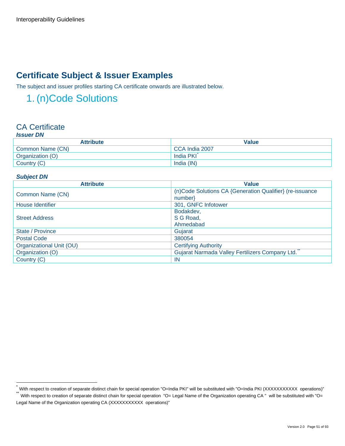## **Certificate Subject & Issuer Examples**

The subject and issuer profiles starting CA certificate onwards are illustrated below.

## 1. (n)Code Solutions

#### CA Certificate *Issuer DN*

| ISSUEI DIV       |                |  |
|------------------|----------------|--|
| <b>Attribute</b> | <b>Value</b>   |  |
| Common Name (CN) | CCA India 2007 |  |
| Organization (O) | India PKI      |  |
| Country (C)      | India (IN)     |  |

#### *Subject DN*

| <b>Attribute</b>         | <b>Value</b>                                             |
|--------------------------|----------------------------------------------------------|
| Common Name (CN)         | (n)Code Solutions CA {Generation Qualifier} (re-issuance |
|                          | number                                                   |
| <b>House Identifier</b>  | 301, GNFC Infotower                                      |
|                          | Bodakdev,                                                |
| <b>Street Address</b>    | S G Road,                                                |
|                          | Ahmedabad                                                |
| State / Province         | Gujarat                                                  |
| <b>Postal Code</b>       | 380054                                                   |
| Organizational Unit (OU) | <b>Certifying Authority</b>                              |
| Organization (O)         | Gujarat Narmada Valley Fertilizers Company Ltd.          |
| Country (C)              | <b>IN</b>                                                |

<span id="page-50-0"></span><sup>.&</sup>lt;br>™With respect to creation of separate distinct chain for special operation "O=India PKI" will be substituted with "O=India PKI (XXXXXXXXXX operations)"<br>™With respect to creation of separate distinct chain for special op

<span id="page-50-1"></span>Legal Name of the Organization operating CA (XXXXXXXXXXX operations)"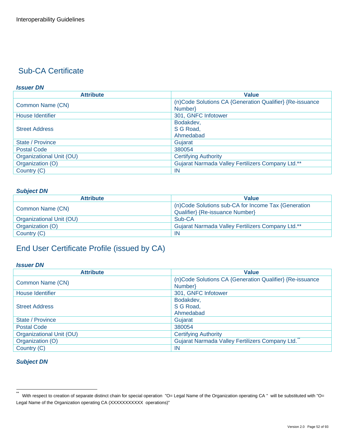#### *Issuer DN*

| <b>Attribute</b>         | <b>Value</b>                                             |
|--------------------------|----------------------------------------------------------|
|                          | (n)Code Solutions CA {Generation Qualifier} {Re-issuance |
| Common Name (CN)         | Number}                                                  |
| House Identifier         | 301, GNFC Infotower                                      |
|                          | Bodakdev,                                                |
| <b>Street Address</b>    | S G Road,                                                |
|                          | Ahmedabad                                                |
| State / Province         | Gujarat                                                  |
| <b>Postal Code</b>       | 380054                                                   |
| Organizational Unit (OU) | <b>Certifying Authority</b>                              |
| Organization (O)         | Gujarat Narmada Valley Fertilizers Company Ltd.**        |
| Country (C)              | IN                                                       |

#### *Subject DN*

| <b>Attribute</b>         | <b>Value</b>                                        |
|--------------------------|-----------------------------------------------------|
| Common Name (CN)         | (n)Code Solutions sub-CA for Income Tax {Generation |
|                          | Qualifier} {Re-issuance Number}                     |
| Organizational Unit (OU) | Sub-CA                                              |
| Organization (O)         | Gujarat Narmada Valley Fertilizers Company Ltd.**   |
| Country (C)              | <b>IN</b>                                           |

## End User Certificate Profile (issued by CA)

#### *Issuer DN*

| <b>Attribute</b>         | <b>Value</b>                                             |
|--------------------------|----------------------------------------------------------|
|                          | (n)Code Solutions CA {Generation Qualifier} {Re-issuance |
| Common Name (CN)         | Number}                                                  |
| <b>House Identifier</b>  | 301, GNFC Infotower                                      |
|                          | Bodakdev,                                                |
| <b>Street Address</b>    | S G Road,                                                |
|                          | Ahmedabad                                                |
| State / Province         | Gujarat                                                  |
| <b>Postal Code</b>       | 380054                                                   |
| Organizational Unit (OU) | <b>Certifying Authority</b>                              |
| Organization (O)         | Gujarat Narmada Valley Fertilizers Company Ltd.          |
| Country (C)              | IN                                                       |

<span id="page-51-0"></span> $\ddot{\phantom{1}}$ With respect to creation of separate distinct chain for special operation "O= Legal Name of the Organization operating CA " will be substituted with "O= Legal Name of the Organization operating CA (XXXXXXXXXX operations)"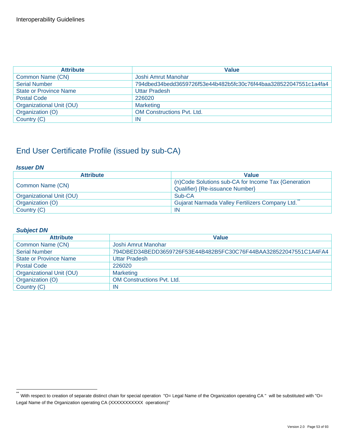| <b>Attribute</b>              | <b>Value</b>                                                     |
|-------------------------------|------------------------------------------------------------------|
| Common Name (CN)              | Joshi Amrut Manohar                                              |
| <b>Serial Number</b>          | 794dbed34bedd3659726f53e44b482b5fc30c76f44baa328522047551c1a4fa4 |
| <b>State or Province Name</b> | <b>Uttar Pradesh</b>                                             |
| <b>Postal Code</b>            | 226020                                                           |
| Organizational Unit (OU)      | <b>Marketing</b>                                                 |
| Organization (O)              | <b>OM Constructions Pvt. Ltd.</b>                                |
| Country (C)                   | IN                                                               |

#### *Issuer DN*

| <b>Attribute</b>         | <b>Value</b>                                                                           |
|--------------------------|----------------------------------------------------------------------------------------|
| Common Name (CN)         | (n)Code Solutions sub-CA for Income Tax {Generation<br>Qualifier} {Re-issuance Number} |
| Organizational Unit (OU) | Sub-CA                                                                                 |
| Organization (O)         | Gujarat Narmada Valley Fertilizers Company Ltd.                                        |
| Country (C)              | IN                                                                                     |

| <b>Attribute</b>              | <b>Value</b>                                                     |
|-------------------------------|------------------------------------------------------------------|
| Common Name (CN)              | Joshi Amrut Manohar                                              |
| <b>Serial Number</b>          | 794DBED34BEDD3659726F53E44B482B5FC30C76F44BAA328522047551C1A4FA4 |
| <b>State or Province Name</b> | <b>Uttar Pradesh</b>                                             |
| <b>Postal Code</b>            | 226020                                                           |
| Organizational Unit (OU)      | <b>Marketing</b>                                                 |
| Organization (O)              | <b>OM Constructions Pvt. Ltd.</b>                                |
| Country (C)                   | IN                                                               |

<span id="page-52-0"></span> $\ddot{\phantom{1}}$ With respect to creation of separate distinct chain for special operation "O= Legal Name of the Organization operating CA " will be substituted with "O= Legal Name of the Organization operating CA (XXXXXXXXXX operations)"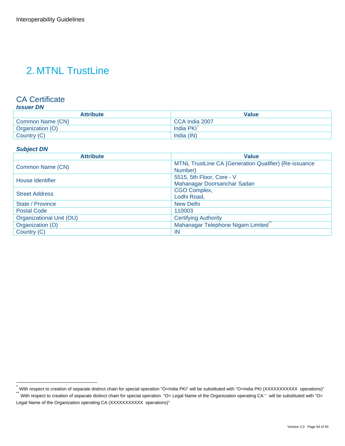## 2. MTNL TrustLine

### CA Certificate

#### *Issuer DN*

| <b>Attribute</b> | Value          |
|------------------|----------------|
| Common Name (CN) | CCA India 2007 |
| Organization (O) | India PKI      |
| Country (C)      | India (IN)     |

#### *Subject DN*

| <b>Attribute</b>         | <b>Value</b>                                          |
|--------------------------|-------------------------------------------------------|
|                          | MTNL TrustLine CA {Generation Qualifier} {Re-issuance |
| Common Name (CN)         | Number}                                               |
| House Identifier         | 5515, 5th Floor, Core - V                             |
|                          | Mahanagar Doorsanchar Sadan                           |
| <b>Street Address</b>    | CGO Complex,                                          |
|                          | Lodhi Road,                                           |
| State / Province         | <b>New Delhi</b>                                      |
| <b>Postal Code</b>       | 110003                                                |
| Organizational Unit (OU) | <b>Certifying Authority</b>                           |
| Organization (O)         | Mahanagar Telephone Nigam Limited                     |
| Country (C)              | IN                                                    |

<span id="page-53-0"></span><sup>.&</sup>lt;br>™With respect to creation of separate distinct chain for special operation "O=India PKI" will be substituted with "O=India PKI (XXXXXXXXXX operations)"<br>™With respect to creation of separate distinct chain for special op

<span id="page-53-1"></span>Legal Name of the Organization operating CA (XXXXXXXXXX operations)"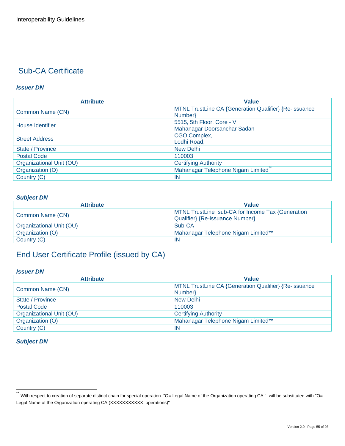#### *Issuer DN*

| <b>Attribute</b>         | Value                                                 |
|--------------------------|-------------------------------------------------------|
| Common Name (CN)         | MTNL TrustLine CA {Generation Qualifier} {Re-issuance |
|                          | Number}                                               |
| House Identifier         | 5515, 5th Floor, Core - V                             |
|                          | Mahanagar Doorsanchar Sadan                           |
| <b>Street Address</b>    | CGO Complex,                                          |
|                          | Lodhi Road,                                           |
| State / Province         | <b>New Delhi</b>                                      |
| <b>Postal Code</b>       | 110003                                                |
| Organizational Unit (OU) | <b>Certifying Authority</b>                           |
| Organization (O)         | Mahanagar Telephone Nigam Limited                     |
| Country (C)              | -IN                                                   |

#### *Subject DN*

| <b>Attribute</b>         | <b>Value</b>                                                                        |
|--------------------------|-------------------------------------------------------------------------------------|
| Common Name (CN)         | MTNL TrustLine sub-CA for Income Tax {Generation<br>Qualifier} {Re-issuance Number} |
| Organizational Unit (OU) | Sub-CA                                                                              |
| Organization (O)         | Mahanagar Telephone Nigam Limited**                                                 |
| Country (C)              | IN                                                                                  |

## End User Certificate Profile (issued by CA)

#### *Issuer DN*

| <b>Attribute</b>         | <b>Value</b>                                          |
|--------------------------|-------------------------------------------------------|
| Common Name (CN)         | MTNL TrustLine CA {Generation Qualifier} {Re-issuance |
|                          | Number                                                |
| State / Province         | New Delhi                                             |
| <b>Postal Code</b>       | 110003                                                |
| Organizational Unit (OU) | <b>Certifying Authority</b>                           |
| Organization (O)         | Mahanagar Telephone Nigam Limited**                   |
| Country (C)              | IN                                                    |

<span id="page-54-0"></span> $\star\star$ With respect to creation of separate distinct chain for special operation "O= Legal Name of the Organization operating CA " will be substituted with "O= Legal Name of the Organization operating CA (XXXXXXXXXX operations)"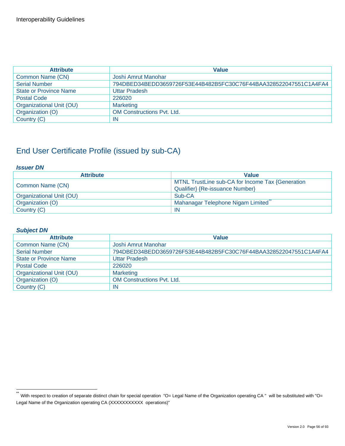| <b>Attribute</b>              | <b>Value</b>                                                     |
|-------------------------------|------------------------------------------------------------------|
| Common Name (CN)              | Joshi Amrut Manohar                                              |
| <b>Serial Number</b>          | 794DBED34BEDD3659726F53E44B482B5FC30C76F44BAA328522047551C1A4FA4 |
| <b>State or Province Name</b> | <b>Uttar Pradesh</b>                                             |
| <b>Postal Code</b>            | 226020                                                           |
| Organizational Unit (OU)      | <b>Marketing</b>                                                 |
| Organization (O)              | <b>OM Constructions Pvt. Ltd.</b>                                |
| Country (C)                   | ΙN                                                               |

#### *Issuer DN*

| <b>Attribute</b>         | <b>Value</b>                                                                        |
|--------------------------|-------------------------------------------------------------------------------------|
| Common Name (CN)         | MTNL TrustLine sub-CA for Income Tax {Generation<br>Qualifier} {Re-issuance Number} |
| Organizational Unit (OU) | Sub-CA                                                                              |
| Organization (O)         | Mahanagar Telephone Nigam Limited"                                                  |
| Country (C)              | IN                                                                                  |

| <b>Attribute</b>              | <b>Value</b>                                                     |
|-------------------------------|------------------------------------------------------------------|
| Common Name (CN)              | Joshi Amrut Manohar                                              |
| <b>Serial Number</b>          | 794DBED34BEDD3659726F53E44B482B5FC30C76F44BAA328522047551C1A4FA4 |
| <b>State or Province Name</b> | <b>Uttar Pradesh</b>                                             |
| <b>Postal Code</b>            | 226020                                                           |
| Organizational Unit (OU)      | <b>Marketing</b>                                                 |
| Organization (O)              | <b>OM Constructions Pvt. Ltd.</b>                                |
| Country (C)                   | IN                                                               |

<span id="page-55-0"></span> $\ddot{\phantom{1}}$ With respect to creation of separate distinct chain for special operation "O= Legal Name of the Organization operating CA " will be substituted with "O= Legal Name of the Organization operating CA (XXXXXXXXXX operations)"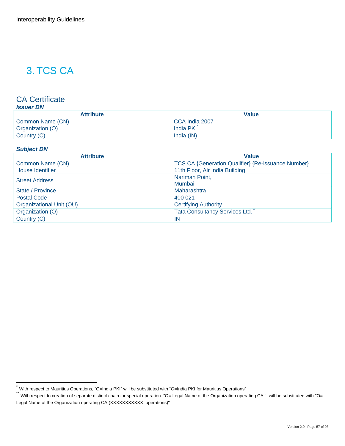## 3. TCS CA

### CA Certificate

#### *Issuer DN*

| <b>Attribute</b> | Value          |
|------------------|----------------|
| Common Name (CN) | CCA India 2007 |
| Organization (O) | India PKI      |
| Country (C)      | India (IN)     |

#### *Subject DN*

| <b>Attribute</b>         | <b>Value</b>                                              |
|--------------------------|-----------------------------------------------------------|
| Common Name (CN)         | <b>TCS CA {Generation Qualifier} {Re-issuance Number}</b> |
| <b>House Identifier</b>  | 11th Floor, Air India Building                            |
| <b>Street Address</b>    | Nariman Point,                                            |
|                          | Mumbai                                                    |
| State / Province         | Maharashtra                                               |
| <b>Postal Code</b>       | 400 021                                                   |
| Organizational Unit (OU) | <b>Certifying Authority</b>                               |
| Organization (O)         | <b>Tata Consultancy Services Ltd.</b>                     |
| Country (C)              | -IN                                                       |

<span id="page-56-0"></span><sup>\*</sup> With respect to Mauritius Operations, "O=India PKI" will be substituted with "O=India PKI for Mauritius Operations"

<span id="page-56-1"></span>With respect to creation of separate distinct chain for special operation "O= Legal Name of the Organization operating CA " will be substituted with "O= Legal Name of the Organization operating CA (XXXXXXXXXX operations)"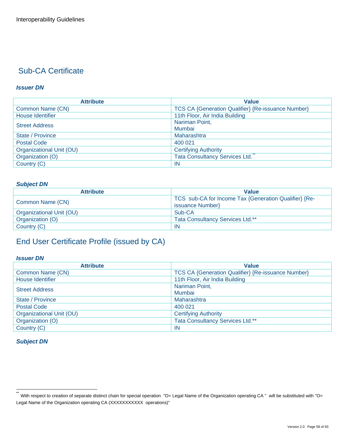#### *Issuer DN*

| <b>Attribute</b>         | <b>Value</b>                                              |
|--------------------------|-----------------------------------------------------------|
| Common Name (CN)         | <b>TCS CA {Generation Qualifier} {Re-issuance Number}</b> |
| House Identifier         | 11th Floor, Air India Building                            |
| <b>Street Address</b>    | Nariman Point,                                            |
|                          | Mumbai                                                    |
| State / Province         | Maharashtra                                               |
| <b>Postal Code</b>       | 400 021                                                   |
| Organizational Unit (OU) | <b>Certifying Authority</b>                               |
| Organization (O)         | <b>Tata Consultancy Services Ltd.</b>                     |
| Country (C)              | -IN                                                       |

#### *Subject DN*

| <b>Attribute</b>         | <b>Value</b>                                                              |
|--------------------------|---------------------------------------------------------------------------|
| Common Name (CN)         | TCS sub-CA for Income Tax {Generation Qualifier} {Re-<br>issuance Number} |
| Organizational Unit (OU) | Sub-CA                                                                    |
| Organization (O)         | <b>Tata Consultancy Services Ltd.**</b>                                   |
| Country (C)              | -IN                                                                       |

## End User Certificate Profile (issued by CA)

#### *Issuer DN*

| <b>Attribute</b>         | <b>Value</b>                                              |
|--------------------------|-----------------------------------------------------------|
| Common Name (CN)         | <b>TCS CA {Generation Qualifier} {Re-issuance Number}</b> |
| <b>House Identifier</b>  | 11th Floor, Air India Building                            |
| <b>Street Address</b>    | Nariman Point,                                            |
|                          | Mumbai                                                    |
| State / Province         | Maharashtra                                               |
| <b>Postal Code</b>       | 400 021                                                   |
| Organizational Unit (OU) | <b>Certifying Authority</b>                               |
| Organization (O)         | Tata Consultancy Services Ltd.**                          |
| Country (C)              | IN                                                        |

<span id="page-57-0"></span> $\ddot{\phantom{1}}$ With respect to creation of separate distinct chain for special operation "O= Legal Name of the Organization operating CA " will be substituted with "O= Legal Name of the Organization operating CA (XXXXXXXXXX operations)"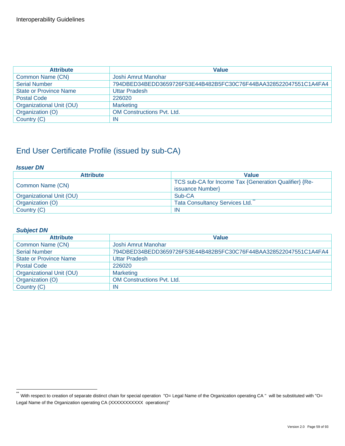| <b>Attribute</b>              | <b>Value</b>                                                     |
|-------------------------------|------------------------------------------------------------------|
| Common Name (CN)              | Joshi Amrut Manohar                                              |
| <b>Serial Number</b>          | 794DBED34BEDD3659726F53E44B482B5FC30C76F44BAA328522047551C1A4FA4 |
| <b>State or Province Name</b> | <b>Uttar Pradesh</b>                                             |
| <b>Postal Code</b>            | 226020                                                           |
| Organizational Unit (OU)      | <b>Marketing</b>                                                 |
| Organization (O)              | <b>OM Constructions Pvt. Ltd.</b>                                |
| Country (C)                   | ΙN                                                               |

#### *Issuer DN*

| <b>Attribute</b>         | <b>Value</b>                                          |
|--------------------------|-------------------------------------------------------|
| Common Name (CN)         | TCS sub-CA for Income Tax {Generation Qualifier} {Re- |
|                          | issuance Number}                                      |
| Organizational Unit (OU) | Sub-CA                                                |
| Organization (O)         | <b>Tata Consultancy Services Ltd.</b>                 |
| Country (C)              | IN                                                    |

| <b>Attribute</b>              | <b>Value</b>                                                     |
|-------------------------------|------------------------------------------------------------------|
| Common Name (CN)              | Joshi Amrut Manohar                                              |
| <b>Serial Number</b>          | 794DBED34BEDD3659726F53E44B482B5FC30C76F44BAA328522047551C1A4FA4 |
| <b>State or Province Name</b> | <b>Uttar Pradesh</b>                                             |
| <b>Postal Code</b>            | 226020                                                           |
| Organizational Unit (OU)      | <b>Marketing</b>                                                 |
| Organization (O)              | <b>OM Constructions Pvt. Ltd.</b>                                |
| Country (C)                   | IN                                                               |

<span id="page-58-0"></span> $\ddot{\phantom{1}}$ With respect to creation of separate distinct chain for special operation "O= Legal Name of the Organization operating CA " will be substituted with "O= Legal Name of the Organization operating CA (XXXXXXXXXX operations)"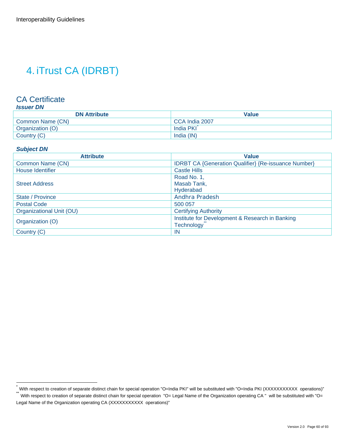## 4. iTrust CA (IDRBT)

## CA Certificate

| <b>DN Attribute</b> | <b>Value</b>   |
|---------------------|----------------|
| Common Name (CN)    | CCA India 2007 |
| Organization (O)    | India PKI      |
| Country (C)         | India (IN)     |

#### *Subject DN*

| <b>Attribute</b>         | <b>Value</b>                                                |
|--------------------------|-------------------------------------------------------------|
| Common Name (CN)         | <b>IDRBT CA {Generation Qualifier} {Re-issuance Number}</b> |
| House Identifier         | <b>Castle Hills</b>                                         |
|                          | Road No. 1,                                                 |
| <b>Street Address</b>    | Masab Tank,                                                 |
|                          | Hyderabad                                                   |
| State / Province         | Andhra Pradesh                                              |
| <b>Postal Code</b>       | 500 057                                                     |
| Organizational Unit (OU) | <b>Certifying Authority</b>                                 |
| Organization (O)         | Institute for Development & Research in Banking             |
|                          | <b>Technology</b>                                           |
| Country (C)              | -IN                                                         |

<span id="page-59-0"></span><sup>.&</sup>lt;br>™With respect to creation of separate distinct chain for special operation "O=India PKI" will be substituted with "O=India PKI (XXXXXXXXXX operations)"<br>™With respect to creation of separate distinct chain for special op

<span id="page-59-1"></span>Legal Name of the Organization operating CA (XXXXXXXXXX operations)"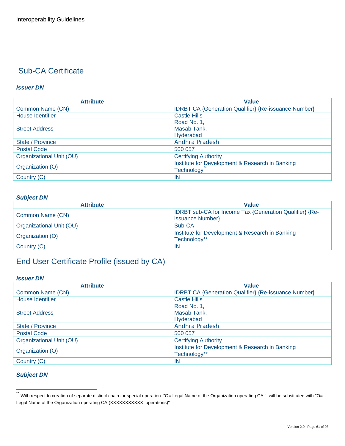#### *Issuer DN*

| <b>Attribute</b>         | Value                                                       |
|--------------------------|-------------------------------------------------------------|
| Common Name (CN)         | <b>IDRBT CA {Generation Qualifier} {Re-issuance Number}</b> |
| <b>House Identifier</b>  | <b>Castle Hills</b>                                         |
|                          | Road No. 1,                                                 |
| <b>Street Address</b>    | Masab Tank,                                                 |
|                          | Hyderabad                                                   |
| State / Province         | Andhra Pradesh                                              |
| <b>Postal Code</b>       | 500 057                                                     |
| Organizational Unit (OU) | <b>Certifying Authority</b>                                 |
| Organization (O)         | Institute for Development & Research in Banking             |
|                          | <b>Technology</b>                                           |
| Country (C)              | -IN                                                         |

#### *Subject DN*

| <b>Attribute</b>         | <b>Value</b>                                                                |
|--------------------------|-----------------------------------------------------------------------------|
| Common Name (CN)         | IDRBT sub-CA for Income Tax {Generation Qualifier} {Re-<br>issuance Number} |
| Organizational Unit (OU) | Sub-CA                                                                      |
| Organization (O)         | Institute for Development & Research in Banking<br>Technology**             |
| Country (C)              | <b>IN</b>                                                                   |

## End User Certificate Profile (issued by CA)

#### *Issuer DN*

| <b>Attribute</b>         | <b>Value</b>                                                |
|--------------------------|-------------------------------------------------------------|
| Common Name (CN)         | <b>IDRBT CA {Generation Qualifier} {Re-issuance Number}</b> |
| House Identifier         | <b>Castle Hills</b>                                         |
| <b>Street Address</b>    | Road No. 1,                                                 |
|                          | Masab Tank,                                                 |
|                          | Hyderabad                                                   |
| State / Province         | Andhra Pradesh                                              |
| <b>Postal Code</b>       | 500 057                                                     |
| Organizational Unit (OU) | <b>Certifying Authority</b>                                 |
| Organization (O)         | Institute for Development & Research in Banking             |
|                          | Technology**                                                |
| Country (C)              | IN                                                          |

#### *Subject DN*

<span id="page-60-0"></span><sup>\*\*&</sup>lt;br>With respect to creation of separate distinct chain for special operation "O= Legal Name of the Organization operating CA " will be substituted with "O= Legal Name of the Organization operating CA (XXXXXXXXXX operations)"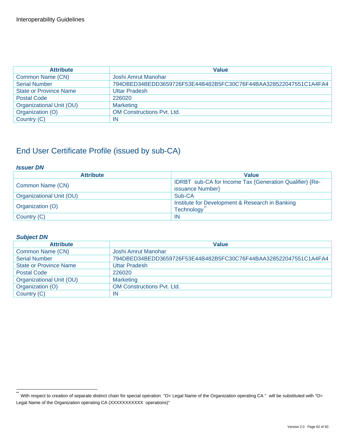| <b>Attribute</b>              | <b>Value</b>                                                     |
|-------------------------------|------------------------------------------------------------------|
| Common Name (CN)              | Joshi Amrut Manohar                                              |
| <b>Serial Number</b>          | 794DBED34BEDD3659726F53E44B482B5FC30C76F44BAA328522047551C1A4FA4 |
| <b>State or Province Name</b> | <b>Uttar Pradesh</b>                                             |
| <b>Postal Code</b>            | 226020                                                           |
| Organizational Unit (OU)      | <b>Marketing</b>                                                 |
| Organization (O)              | <b>OM Constructions Pvt. Ltd.</b>                                |
| Country (C)                   | ΙN                                                               |

#### *Issuer DN*

| <b>Attribute</b>         | <b>Value</b>                                            |
|--------------------------|---------------------------------------------------------|
| Common Name (CN)         | IDRBT sub-CA for Income Tax {Generation Qualifier} {Re- |
|                          | issuance Number}                                        |
| Organizational Unit (OU) | Sub-CA                                                  |
| Organization (O)         | Institute for Development & Research in Banking         |
|                          | <b>Technology</b>                                       |
| Country (C)              | IN                                                      |

| <b>Attribute</b>              | <b>Value</b>                                                     |
|-------------------------------|------------------------------------------------------------------|
| Common Name (CN)              | Joshi Amrut Manohar                                              |
| <b>Serial Number</b>          | 794DBED34BEDD3659726F53E44B482B5FC30C76F44BAA328522047551C1A4FA4 |
| <b>State or Province Name</b> | <b>Uttar Pradesh</b>                                             |
| <b>Postal Code</b>            | 226020                                                           |
| Organizational Unit (OU)      | <b>Marketing</b>                                                 |
| Organization (O)              | <b>OM Constructions Pyt. Ltd.</b>                                |
| Country (C)                   | -IN                                                              |

<span id="page-61-0"></span> $\ddot{\phantom{1}}$ With respect to creation of separate distinct chain for special operation "O= Legal Name of the Organization operating CA " will be substituted with "O= Legal Name of the Organization operating CA (XXXXXXXXXX operations)"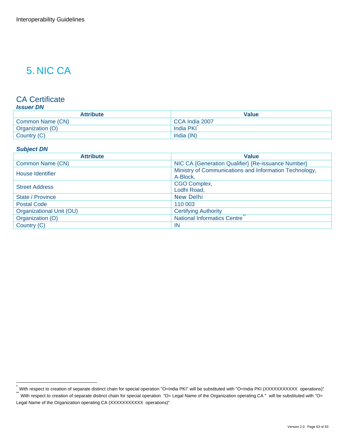## 5. NIC CA

### CA Certificate

#### *Issuer DN*

| <b>Attribute</b> | Value          |
|------------------|----------------|
| Common Name (CN) | CCA India 2007 |
| Organization (O) | India PKI      |
| Country (C)      | India (IN)     |

#### *Subject DN*

| <b>Attribute</b>         | <b>Value</b>                                           |
|--------------------------|--------------------------------------------------------|
| Common Name (CN)         | NIC CA {Generation Qualifier} {Re-issuance Number}     |
| House Identifier         | Ministry of Communications and Information Technology, |
|                          | A-Block,                                               |
| <b>Street Address</b>    | CGO Complex,                                           |
|                          | Lodhi Road,                                            |
| State / Province         | <b>New Delhi</b>                                       |
| <b>Postal Code</b>       | 110 003                                                |
| Organizational Unit (OU) | <b>Certifying Authority</b>                            |
| Organization (O)         | National Informatics Centre                            |
| Country (C)              | IN                                                     |

<span id="page-62-0"></span><sup>.&</sup>lt;br>™With respect to creation of separate distinct chain for special operation "O=India PKI" will be substituted with "O=India PKI (XXXXXXXXXX operations)"<br>™With respect to creation of separate distinct chain for special op

<span id="page-62-1"></span>Legal Name of the Organization operating CA (XXXXXXXXXX operations)"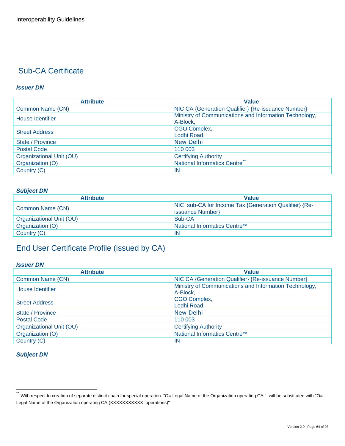#### *Issuer DN*

| <b>Attribute</b>         | <b>Value</b>                                           |
|--------------------------|--------------------------------------------------------|
| Common Name (CN)         | NIC CA {Generation Qualifier} {Re-issuance Number}     |
| House Identifier         | Ministry of Communications and Information Technology, |
|                          | A-Block,                                               |
| <b>Street Address</b>    | CGO Complex,                                           |
|                          | Lodhi Road,                                            |
| State / Province         | <b>New Delhi</b>                                       |
| <b>Postal Code</b>       | 110 003                                                |
| Organizational Unit (OU) | <b>Certifying Authority</b>                            |
| Organization (O)         | <b>National Informatics Centre</b>                     |
| Country (C)              | -IN                                                    |

#### *Subject DN*

| <b>Attribute</b>         | <b>Value</b>                                                              |
|--------------------------|---------------------------------------------------------------------------|
| Common Name (CN)         | NIC sub-CA for Income Tax {Generation Qualifier} {Re-<br>issuance Number} |
| Organizational Unit (OU) | Sub-CA                                                                    |
| Organization (O)         | National Informatics Centre**                                             |
| Country (C)              | IN                                                                        |

## End User Certificate Profile (issued by CA)

#### *Issuer DN*

| <b>Attribute</b>         | <b>Value</b>                                                       |
|--------------------------|--------------------------------------------------------------------|
| Common Name (CN)         | NIC CA {Generation Qualifier} {Re-issuance Number}                 |
| House Identifier         | Ministry of Communications and Information Technology,<br>A-Block, |
| <b>Street Address</b>    | CGO Complex,<br>Lodhi Road,                                        |
| State / Province         | <b>New Delhi</b>                                                   |
| <b>Postal Code</b>       | 110 003                                                            |
| Organizational Unit (OU) | <b>Certifying Authority</b>                                        |
| Organization (O)         | National Informatics Centre**                                      |
| Country (C)              | -IN                                                                |

<span id="page-63-0"></span> $\ddot{\phantom{1}}$ With respect to creation of separate distinct chain for special operation "O= Legal Name of the Organization operating CA " will be substituted with "O= Legal Name of the Organization operating CA (XXXXXXXXXX operations)"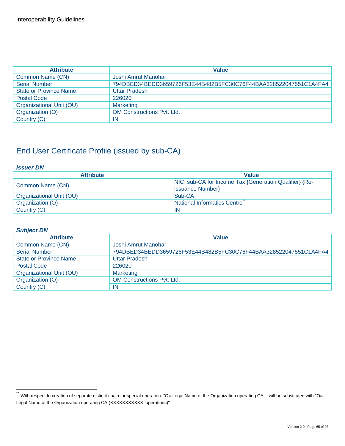| <b>Attribute</b>              | <b>Value</b>                                                     |
|-------------------------------|------------------------------------------------------------------|
| Common Name (CN)              | Joshi Amrut Manohar                                              |
| <b>Serial Number</b>          | 794DBED34BEDD3659726F53E44B482B5FC30C76F44BAA328522047551C1A4FA4 |
| <b>State or Province Name</b> | <b>Uttar Pradesh</b>                                             |
| <b>Postal Code</b>            | 226020                                                           |
| Organizational Unit (OU)      | <b>Marketing</b>                                                 |
| Organization (O)              | <b>OM Constructions Pvt. Ltd.</b>                                |
| Country (C)                   | ΙN                                                               |

#### *Issuer DN*

| <b>Attribute</b>         | <b>Value</b>                                                              |
|--------------------------|---------------------------------------------------------------------------|
| Common Name (CN)         | NIC sub-CA for Income Tax {Generation Qualifier} {Re-<br>issuance Number} |
| Organizational Unit (OU) | Sub-CA                                                                    |
| Organization (O)         | National Informatics Centre                                               |
| Country (C)              | IN                                                                        |

| <b>Attribute</b>              | <b>Value</b>                                                     |
|-------------------------------|------------------------------------------------------------------|
| Common Name (CN)              | Joshi Amrut Manohar                                              |
| <b>Serial Number</b>          | 794DBED34BEDD3659726F53E44B482B5FC30C76F44BAA328522047551C1A4FA4 |
| <b>State or Province Name</b> | <b>Uttar Pradesh</b>                                             |
| <b>Postal Code</b>            | 226020                                                           |
| Organizational Unit (OU)      | <b>Marketing</b>                                                 |
| Organization (O)              | <b>OM Constructions Pvt. Ltd.</b>                                |
| Country (C)                   | IN                                                               |

<span id="page-64-0"></span> $\ddot{\phantom{1}}$ With respect to creation of separate distinct chain for special operation "O= Legal Name of the Organization operating CA " will be substituted with "O= Legal Name of the Organization operating CA (XXXXXXXXXX operations)"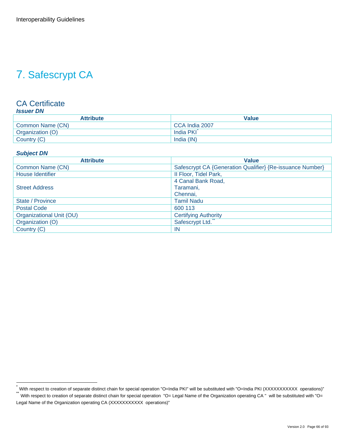## 7. Safescrypt CA

#### CA Certificate *Issuer DN*

| <b>Attribute</b> | <b>Value</b>   |
|------------------|----------------|
| Common Name (CN) | CCA India 2007 |
| Organization (O) | India PKI      |
| Country (C)      | India (IN)     |

#### *Subject DN*

| <b>Attribute</b>         | Value                                                     |
|--------------------------|-----------------------------------------------------------|
| Common Name (CN)         | Safescrypt CA {Generation Qualifier} {Re-issuance Number} |
| House Identifier         | II Floor, Tidel Park,                                     |
|                          | 4 Canal Bank Road,                                        |
| <b>Street Address</b>    | Taramani,                                                 |
|                          | Chennai,                                                  |
| State / Province         | <b>Tamil Nadu</b>                                         |
| <b>Postal Code</b>       | 600 113                                                   |
| Organizational Unit (OU) | <b>Certifying Authority</b>                               |
| Organization (O)         | Safescrypt Ltd.                                           |
| Country (C)              | -IN                                                       |

<span id="page-65-0"></span><sup>.&</sup>lt;br>™With respect to creation of separate distinct chain for special operation "O=India PKI" will be substituted with "O=India PKI (XXXXXXXXXX operations)"<br>™With respect to creation of separate distinct chain for special op

<span id="page-65-1"></span>Legal Name of the Organization operating CA (XXXXXXXXXX operations)"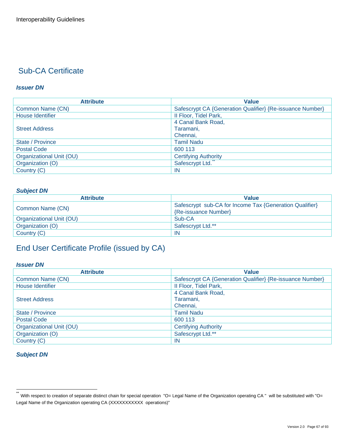#### *Issuer DN*

| <b>Attribute</b>         | <b>Value</b>                                              |
|--------------------------|-----------------------------------------------------------|
| Common Name (CN)         | Safescrypt CA {Generation Qualifier} {Re-issuance Number} |
| House Identifier         | II Floor, Tidel Park,                                     |
|                          | 4 Canal Bank Road,                                        |
| <b>Street Address</b>    | Taramani,                                                 |
|                          | Chennai,                                                  |
| State / Province         | <b>Tamil Nadu</b>                                         |
| <b>Postal Code</b>       | 600 113                                                   |
| Organizational Unit (OU) | <b>Certifying Authority</b>                               |
| Organization (O)         | Safescrypt Ltd.                                           |
| Country (C)              | <b>IN</b>                                                 |

#### *Subject DN*

| <b>Attribute</b>         | <b>Value</b>                                            |
|--------------------------|---------------------------------------------------------|
| Common Name (CN)         | Safescrypt sub-CA for Income Tax {Generation Qualifier} |
|                          | {Re-issuance Number}                                    |
| Organizational Unit (OU) | Sub-CA                                                  |
| Organization (O)         | Safescrypt Ltd.**                                       |
| Country (C)              | IN                                                      |

## End User Certificate Profile (issued by CA)

#### *Issuer DN*

| <b>Attribute</b>         | <b>Value</b>                                              |
|--------------------------|-----------------------------------------------------------|
| Common Name (CN)         | Safescrypt CA {Generation Qualifier} {Re-issuance Number} |
| House Identifier         | II Floor, Tidel Park,                                     |
|                          | 4 Canal Bank Road,                                        |
| <b>Street Address</b>    | Taramani,                                                 |
|                          | Chennai,                                                  |
| State / Province         | <b>Tamil Nadu</b>                                         |
| <b>Postal Code</b>       | 600 113                                                   |
| Organizational Unit (OU) | <b>Certifying Authority</b>                               |
| Organization (O)         | Safescrypt Ltd.**                                         |
| Country (C)              | IN                                                        |

<span id="page-66-0"></span> $\ddot{\phantom{1}}$ With respect to creation of separate distinct chain for special operation "O= Legal Name of the Organization operating CA " will be substituted with "O= Legal Name of the Organization operating CA (XXXXXXXXXX operations)"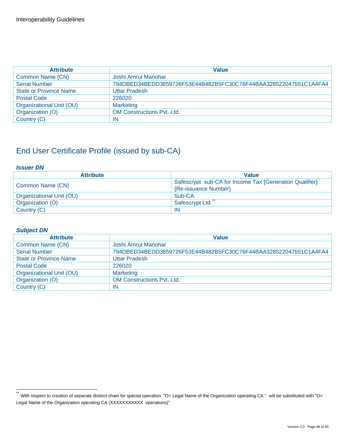| <b>Attribute</b>              | <b>Value</b>                                                     |
|-------------------------------|------------------------------------------------------------------|
| Common Name (CN)              | Joshi Amrut Manohar                                              |
| <b>Serial Number</b>          | 794DBED34BEDD3659726F53E44B482B5FC30C76F44BAA328522047551C1A4FA4 |
| <b>State or Province Name</b> | <b>Uttar Pradesh</b>                                             |
| <b>Postal Code</b>            | 226020                                                           |
| Organizational Unit (OU)      | <b>Marketing</b>                                                 |
| Organization (O)              | <b>OM Constructions Pvt. Ltd.</b>                                |
| Country (C)                   | ΙN                                                               |

#### *Issuer DN*

| <b>Attribute</b>         | <b>Value</b>                                                                    |
|--------------------------|---------------------------------------------------------------------------------|
| Common Name (CN)         | Safescrypt sub-CA for Income Tax {Generation Qualifier}<br>{Re-issuance Number} |
| Organizational Unit (OU) | Sub-CA                                                                          |
| Organization (O)         | Safescrypt Ltd.                                                                 |
| Country (C)              | -IN                                                                             |

| <b>Attribute</b>              | <b>Value</b>                                                     |
|-------------------------------|------------------------------------------------------------------|
| Common Name (CN)              | Joshi Amrut Manohar                                              |
| <b>Serial Number</b>          | 794DBED34BEDD3659726F53E44B482B5FC30C76F44BAA328522047551C1A4FA4 |
| <b>State or Province Name</b> | <b>Uttar Pradesh</b>                                             |
| <b>Postal Code</b>            | 226020                                                           |
| Organizational Unit (OU)      | <b>Marketing</b>                                                 |
| Organization (O)              | <b>OM Constructions Pvt. Ltd.</b>                                |
| Country (C)                   | IN                                                               |

<span id="page-67-0"></span> $\ddot{\phantom{1}}$ With respect to creation of separate distinct chain for special operation "O= Legal Name of the Organization operating CA " will be substituted with "O= Legal Name of the Organization operating CA (XXXXXXXXXX operations)"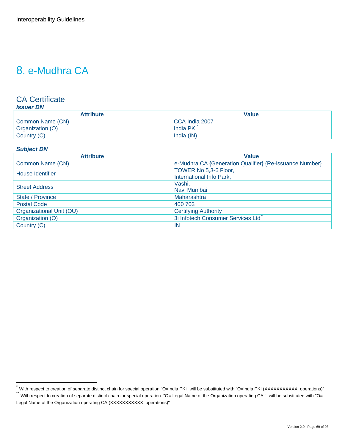## 8. e-Mudhra CA

## CA Certificate

| <b>Attribute</b> | Value          |
|------------------|----------------|
| Common Name (CN) | CCA India 2007 |
| Organization (O) | India PKI      |
| Country (C)      | India (IN)     |

#### *Subject DN*

| <b>Attribute</b>         | Value                                                   |
|--------------------------|---------------------------------------------------------|
| Common Name (CN)         | e-Mudhra CA {Generation Qualifier} {Re-issuance Number} |
| House Identifier         | TOWER No 5,3-6 Floor,                                   |
|                          | International Info Park,                                |
| <b>Street Address</b>    | Vashi,                                                  |
|                          | Navi Mumbai                                             |
| State / Province         | Maharashtra                                             |
| <b>Postal Code</b>       | 400 703                                                 |
| Organizational Unit (OU) | <b>Certifying Authority</b>                             |
| Organization (O)         | 3i Infotech Consumer Services Ltd                       |
| Country (C)              | IN                                                      |

<span id="page-68-0"></span><sup>.&</sup>lt;br>™With respect to creation of separate distinct chain for special operation "O=India PKI" will be substituted with "O=India PKI (XXXXXXXXXX operations)"<br>™With respect to creation of separate distinct chain for special op

<span id="page-68-1"></span>Legal Name of the Organization operating CA (XXXXXXXXXX operations)"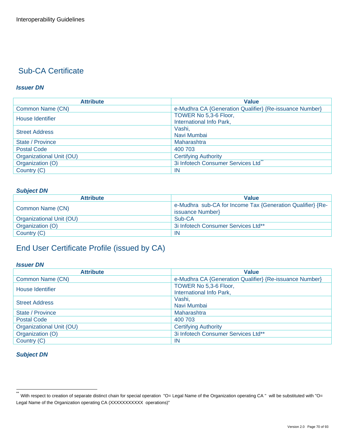#### *Issuer DN*

| <b>Attribute</b>         | <b>Value</b>                                            |
|--------------------------|---------------------------------------------------------|
| Common Name (CN)         | e-Mudhra CA {Generation Qualifier} {Re-issuance Number} |
| House Identifier         | TOWER No 5,3-6 Floor,                                   |
|                          | International Info Park,                                |
| <b>Street Address</b>    | Vashi,                                                  |
|                          | Navi Mumbai                                             |
| State / Province         | Maharashtra                                             |
| <b>Postal Code</b>       | 400 703                                                 |
| Organizational Unit (OU) | <b>Certifying Authority</b>                             |
| Organization (O)         | 3i Infotech Consumer Services Ltd                       |
| Country (C)              | IN                                                      |

#### *Subject DN*

| <b>Attribute</b>         | <b>Value</b>                                               |
|--------------------------|------------------------------------------------------------|
| Common Name (CN)         | e-Mudhra sub-CA for Income Tax {Generation Qualifier} {Re- |
|                          | issuance Number}                                           |
| Organizational Unit (OU) | Sub-CA                                                     |
| Organization (O)         | 3i Infotech Consumer Services Ltd**                        |
| Country (C)              | -IN                                                        |

## End User Certificate Profile (issued by CA)

#### *Issuer DN*

| <b>Attribute</b>         | <b>Value</b>                                            |
|--------------------------|---------------------------------------------------------|
| Common Name (CN)         | e-Mudhra CA {Generation Qualifier} {Re-issuance Number} |
| House Identifier         | TOWER No 5,3-6 Floor,<br>International Info Park,       |
| <b>Street Address</b>    | Vashi,<br>Navi Mumbai                                   |
| State / Province         | Maharashtra                                             |
| <b>Postal Code</b>       | 400 703                                                 |
| Organizational Unit (OU) | <b>Certifying Authority</b>                             |
| Organization (O)         | 3i Infotech Consumer Services Ltd**                     |
| Country (C)              | -IN                                                     |

<span id="page-69-0"></span> $\ddot{\phantom{1}}$ With respect to creation of separate distinct chain for special operation "O= Legal Name of the Organization operating CA " will be substituted with "O= Legal Name of the Organization operating CA (XXXXXXXXXX operations)"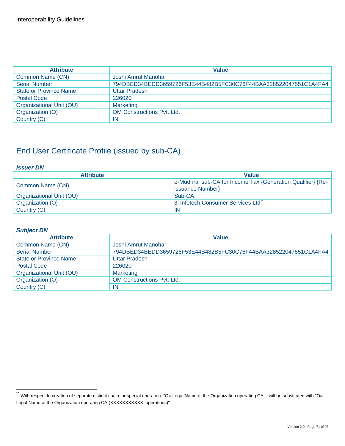| <b>Attribute</b>              | <b>Value</b>                                                     |
|-------------------------------|------------------------------------------------------------------|
| Common Name (CN)              | Joshi Amrut Manohar                                              |
| <b>Serial Number</b>          | 794DBED34BEDD3659726F53E44B482B5FC30C76F44BAA328522047551C1A4FA4 |
| <b>State or Province Name</b> | <b>Uttar Pradesh</b>                                             |
| <b>Postal Code</b>            | 226020                                                           |
| Organizational Unit (OU)      | <b>Marketing</b>                                                 |
| Organization (O)              | <b>OM Constructions Pvt. Ltd.</b>                                |
| Country (C)                   | ΙN                                                               |

#### *Issuer DN*

| <b>Attribute</b>         | <b>Value</b>                                               |
|--------------------------|------------------------------------------------------------|
| Common Name (CN)         | e-Mudhra sub-CA for Income Tax {Generation Qualifier} {Re- |
|                          | issuance Number}                                           |
| Organizational Unit (OU) | Sub-CA                                                     |
| Organization (O)         | 3i Infotech Consumer Services Ltd                          |
| Country (C)              | -IN                                                        |

| <b>Attribute</b>              | <b>Value</b>                                                     |
|-------------------------------|------------------------------------------------------------------|
| Common Name (CN)              | Joshi Amrut Manohar                                              |
| <b>Serial Number</b>          | 794DBED34BEDD3659726F53E44B482B5FC30C76F44BAA328522047551C1A4FA4 |
| <b>State or Province Name</b> | <b>Uttar Pradesh</b>                                             |
| <b>Postal Code</b>            | 226020                                                           |
| Organizational Unit (OU)      | <b>Marketing</b>                                                 |
| Organization (O)              | <b>OM Constructions Pvt. Ltd.</b>                                |
| Country (C)                   | IN                                                               |

<span id="page-70-0"></span> $\ddot{\phantom{1}}$ With respect to creation of separate distinct chain for special operation "O= Legal Name of the Organization operating CA " will be substituted with "O= Legal Name of the Organization operating CA (XXXXXXXXXX operations)"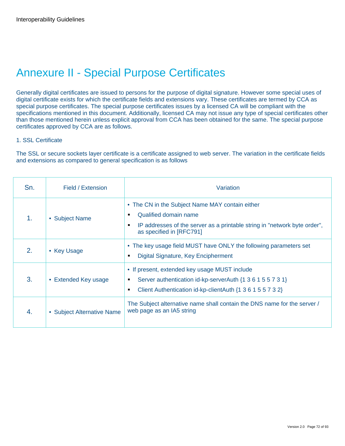## Annexure II - Special Purpose Certificates

Generally digital certificates are issued to persons for the purpose of digital signature. However some special uses of digital certificate exists for which the certificate fields and extensions vary. These certificates are termed by CCA as special purpose certificates. The special purpose certificates issues by a licensed CA will be compliant with the specifications mentioned in this document. Additionally, licensed CA may not issue any type of special certificates other than those mentioned herein unless explicit approval from CCA has been obtained for the same. The special purpose certificates approved by CCA are as follows.

#### 1. SSL Certificate

The SSL or secure sockets layer certificate is a certificate assigned to web server. The variation in the certificate fields and extensions as compared to general specification is as follows

| Sn. | Field / Extension          | Variation                                                                                                                                                                              |
|-----|----------------------------|----------------------------------------------------------------------------------------------------------------------------------------------------------------------------------------|
| 1.  | • Subject Name             | • The CN in the Subject Name MAY contain either<br>Qualified domain name<br>٠<br>IP addresses of the server as a printable string in "network byte order",<br>as specified in [RFC791] |
| 2.  | • Key Usage                | • The key usage field MUST have ONLY the following parameters set<br>Digital Signature, Key Encipherment                                                                               |
| 3.  | • Extended Key usage       | • If present, extended key usage MUST include<br>Server authentication id-kp-serverAuth {1 3 6 1 5 5 7 3 1}<br>Client Authentication id-kp-clientAuth {1 3 6 1 5 5 7 3 2}<br>٠         |
| 4.  | • Subject Alternative Name | The Subject alternative name shall contain the DNS name for the server /<br>web page as an IA5 string                                                                                  |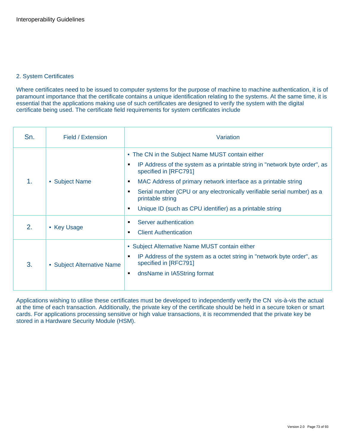#### 2. System Certificates

Where certificates need to be issued to computer systems for the purpose of machine to machine authentication, it is of paramount importance that the certificate contains a unique identification relating to the systems. At the same time, it is essential that the applications making use of such certificates are designed to verify the system with the digital certificate being used. The certificate field requirements for system certificates include

| Sn. | Field / Extension          | Variation                                                                                                                                                                                                                                                                                                                                                                                 |
|-----|----------------------------|-------------------------------------------------------------------------------------------------------------------------------------------------------------------------------------------------------------------------------------------------------------------------------------------------------------------------------------------------------------------------------------------|
| 1.  | • Subject Name             | • The CN in the Subject Name MUST contain either<br>IP Address of the system as a printable string in "network byte order", as<br>specified in [RFC791]<br>MAC Address of primary network interface as a printable string<br>Serial number (CPU or any electronically verifiable serial number) as a<br>printable string<br>Unique ID (such as CPU identifier) as a printable string<br>٠ |
| 2.  | • Key Usage                | Server authentication<br><b>Client Authentication</b><br>٠                                                                                                                                                                                                                                                                                                                                |
| 3.  | • Subject Alternative Name | • Subject Alternative Name MUST contain either<br>IP Address of the system as a octet string in "network byte order", as<br>п<br>specified in [RFC791]<br>dnsName in IA5String format<br>٠                                                                                                                                                                                                |

Applications wishing to utilise these certificates must be developed to independently verify the CN vis-à-vis the actual at the time of each transaction. Additionally, the private key of the certificate should be held in a secure token or smart cards. For applications processing sensitive or high value transactions, it is recommended that the private key be stored in a Hardware Security Module (HSM).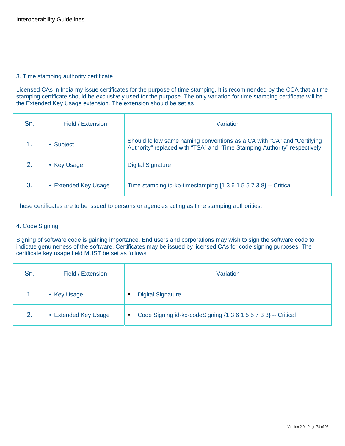#### 3. Time stamping authority certificate

Licensed CAs in India my issue certificates for the purpose of time stamping. It is recommended by the CCA that a time stamping certificate should be exclusively used for the purpose. The only variation for time stamping certificate will be the Extended Key Usage extension. The extension should be set as

| Sn. | Field / Extension    | Variation                                                                                                                                            |
|-----|----------------------|------------------------------------------------------------------------------------------------------------------------------------------------------|
|     | • Subject            | Should follow same naming conventions as a CA with "CA" and "Certifying<br>Authority" replaced with "TSA" and "Time Stamping Authority" respectively |
| 2.  | • Key Usage          | <b>Digital Signature</b>                                                                                                                             |
| 3.  | • Extended Key Usage | Time stamping id-kp-timestamping {1 3 6 1 5 5 7 3 8} -- Critical                                                                                     |

These certificates are to be issued to persons or agencies acting as time stamping authorities.

#### 4. Code Signing

Signing of software code is gaining importance. End users and corporations may wish to sign the software code to indicate genuineness of the software. Certificates may be issued by licensed CAs for code signing purposes. The certificate key usage field MUST be set as follows

| Sn. | Field / Extension    | Variation                                                           |
|-----|----------------------|---------------------------------------------------------------------|
| 1.  | • Key Usage          | <b>Digital Signature</b>                                            |
| 2.  | • Extended Key Usage | Code Signing id-kp-codeSigning {1 3 6 1 5 5 7 3 3} -- Critical<br>п |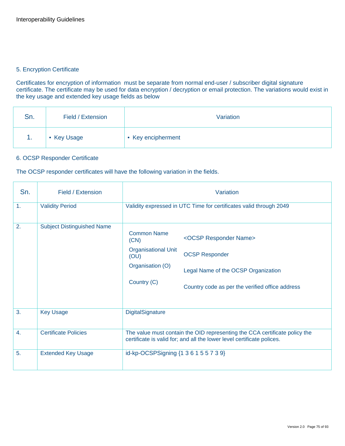#### 5. Encryption Certificate

Certificates for encryption of information must be separate from normal end-user / subscriber digital signature certificate. The certificate may be used for data encryption / decryption or email protection. The variations would exist in the key usage and extended key usage fields as below

| Sn. | Field / Extension | Variation          |
|-----|-------------------|--------------------|
| н.  | • Key Usage       | • Key encipherment |

#### 6. OCSP Responder Certificate

The OCSP responder certificates will have the following variation in the fields.

| Sn.            | Field / Extension                 | Variation                                                                                           |                                                                                                                                                          |  |  |  |  |
|----------------|-----------------------------------|-----------------------------------------------------------------------------------------------------|----------------------------------------------------------------------------------------------------------------------------------------------------------|--|--|--|--|
| 1.             | <b>Validity Period</b>            | Validity expressed in UTC Time for certificates valid through 2049                                  |                                                                                                                                                          |  |  |  |  |
| 2.             | <b>Subject Distinguished Name</b> | <b>Common Name</b><br>(CN)<br><b>Organisational Unit</b><br>(OU)<br>Organisation (O)<br>Country (C) | <ocsp name="" responder=""><br/><b>OCSP Responder</b><br/>Legal Name of the OCSP Organization<br/>Country code as per the verified office address</ocsp> |  |  |  |  |
| 3.             | <b>Key Usage</b>                  | DigitalSignature                                                                                    |                                                                                                                                                          |  |  |  |  |
| $\mathbf{4}$ . | <b>Certificate Policies</b>       |                                                                                                     | The value must contain the OID representing the CCA certificate policy the<br>certificate is valid for; and all the lower level certificate polices.     |  |  |  |  |
| 5.             | <b>Extended Key Usage</b>         | id-kp-OCSPSigning {1 3 6 1 5 5 7 3 9}                                                               |                                                                                                                                                          |  |  |  |  |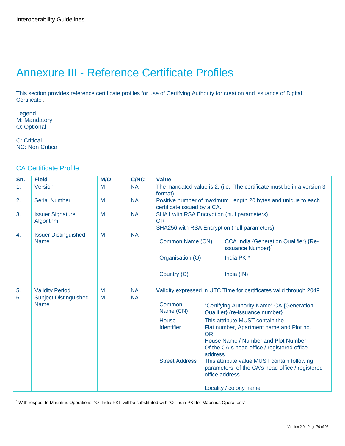# Annexure III - Reference Certificate Profiles

This section provides reference certificate profiles for use of Certifying Authority for creation and issuance of Digital Certificate.

Legend M: Mandatory O: Optional

C: Critical NC: Non Critical

#### CA Certificate Profile

| Sn.              | <b>Field</b>                                | <b>M/O</b> | <b>C/NC</b> | <b>Value</b>                                      |                      |                                                                                                                                                                                                        |
|------------------|---------------------------------------------|------------|-------------|---------------------------------------------------|----------------------|--------------------------------------------------------------------------------------------------------------------------------------------------------------------------------------------------------|
| 1.               | Version                                     | M          | <b>NA</b>   | format)                                           |                      | The mandated value is 2. (i.e., The certificate must be in a version 3                                                                                                                                 |
| 2.               | <b>Serial Number</b>                        | M          | <b>NA</b>   | certificate issued by a CA.                       |                      | Positive number of maximum Length 20 bytes and unique to each                                                                                                                                          |
| 3.               | <b>Issuer Signature</b><br>Algorithm        | M          | <b>NA</b>   | <b>OR</b>                                         |                      | SHA1 with RSA Encryption (null parameters)<br>SHA256 with RSA Encryption (null parameters)                                                                                                             |
| $\overline{4}$ . | <b>Issuer Distinguished</b><br><b>Name</b>  | M          | <b>NA</b>   | Common Name (CN)                                  |                      | <b>CCA India {Generation Qualifier} {Re-</b><br>issuance Number}                                                                                                                                       |
|                  |                                             |            |             | Organisation (O)                                  |                      | India PKI*                                                                                                                                                                                             |
|                  |                                             |            |             | Country (C)                                       |                      | India (IN)                                                                                                                                                                                             |
| 5.               | <b>Validity Period</b>                      | M          | <b>NA</b>   |                                                   |                      | Validity expressed in UTC Time for certificates valid through 2049                                                                                                                                     |
| 6.               | <b>Subject Distinguished</b><br><b>Name</b> | M          | <b>NA</b>   | Common<br>Name (CN)<br>House<br><b>Identifier</b> |                      | "Certifying Authority Name" CA {Generation<br>Qualifier} (re-issuance number)<br>This attribute MUST contain the<br>Flat number, Apartment name and Plot no.                                           |
|                  |                                             |            |             | <b>Street Address</b>                             | <b>OR</b><br>address | House Name / Number and Plot Number<br>Of the CA;s head office / registered office<br>This attribute value MUST contain following<br>parameters of the CA's head office / registered<br>office address |
|                  |                                             |            |             |                                                   |                      | Locality / colony name                                                                                                                                                                                 |
|                  |                                             |            |             |                                                   |                      |                                                                                                                                                                                                        |

<span id="page-75-0"></span>\* With respect to Mauritius Operations, "O=India PKI" will be substituted with "O=India PKI for Mauritius Operations"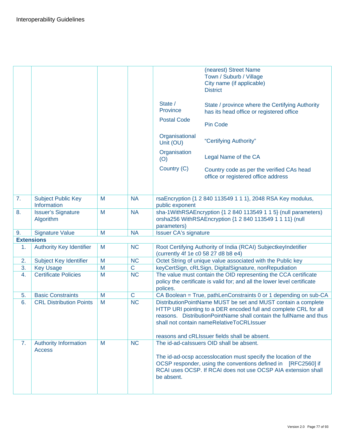|                                          |                                                                                                                                                                   |                            |                                                                         | (nearest) Street Name<br>Town / Suburb / Village<br>City name (if applicable)<br><b>District</b>                                                                                                                                                     |
|------------------------------------------|-------------------------------------------------------------------------------------------------------------------------------------------------------------------|----------------------------|-------------------------------------------------------------------------|------------------------------------------------------------------------------------------------------------------------------------------------------------------------------------------------------------------------------------------------------|
|                                          |                                                                                                                                                                   |                            | State /<br>Province                                                     | State / province where the Certifying Authority<br>has its head office or registered office                                                                                                                                                          |
|                                          |                                                                                                                                                                   |                            | <b>Postal Code</b>                                                      | <b>Pin Code</b>                                                                                                                                                                                                                                      |
|                                          |                                                                                                                                                                   |                            | Organisational<br>Unit (OU)                                             | "Certifying Authority"                                                                                                                                                                                                                               |
|                                          |                                                                                                                                                                   |                            | Organisation<br>(O)                                                     | Legal Name of the CA                                                                                                                                                                                                                                 |
|                                          |                                                                                                                                                                   |                            | Country (C)                                                             | Country code as per the verified CAs head<br>office or registered office address                                                                                                                                                                     |
| <b>Subject Public Key</b><br>Information | M                                                                                                                                                                 | <b>NA</b>                  |                                                                         | rsaEncryption {1 2 840 113549 1 1 1}, 2048 RSA Key modulus,                                                                                                                                                                                          |
| <b>Issuer's Signature</b><br>Algorithm   | M                                                                                                                                                                 | <b>NA</b>                  | parameters)                                                             | sha-1WithRSAEncryption {1 2 840 113549 1 1 5} (null parameters)<br>orsha256 WithRSAEncryption {1 2 840 113549 1 1 11} (null                                                                                                                          |
| <b>Signature Value</b>                   | M                                                                                                                                                                 | <b>NA</b>                  | <b>Issuer CA's signature</b>                                            |                                                                                                                                                                                                                                                      |
|                                          |                                                                                                                                                                   |                            |                                                                         |                                                                                                                                                                                                                                                      |
|                                          |                                                                                                                                                                   |                            | (currently 4f 1e c0 58 27 d8 b8 e4)                                     | Root Certifying Authority of India (RCAI) SubjectkeyIndetifier                                                                                                                                                                                       |
|                                          |                                                                                                                                                                   |                            |                                                                         | Octet String of unique value associated with the Public key                                                                                                                                                                                          |
|                                          |                                                                                                                                                                   |                            |                                                                         | keyCertSign, cRLSign, DigitalSignature, nonRepudiation                                                                                                                                                                                               |
|                                          |                                                                                                                                                                   |                            |                                                                         | The value must contain the OID representing the CCA certificate<br>policy the certificate is valid for; and all the lower level certificate                                                                                                          |
| <b>Basic Constraints</b>                 |                                                                                                                                                                   |                            |                                                                         | CA Boolean = True, pathLenConstraints 0 or 1 depending on sub-CA                                                                                                                                                                                     |
| <b>CRL Distribution Points</b>           | M                                                                                                                                                                 | NC                         |                                                                         | DistributionPointName MUST be set and MUST contain a complete<br>HTTP URI pointing to a DER encoded full and complete CRL for all<br>reasons. DistributionPointName shall contain the fullName and thus<br>shall not contain nameRelativeToCRLIssuer |
|                                          |                                                                                                                                                                   |                            |                                                                         | reasons and cRLIssuer fields shall be absent.                                                                                                                                                                                                        |
| <b>Access</b>                            |                                                                                                                                                                   |                            | be absent.                                                              | The id-ad-calssuers OID shall be absent.<br>The id-ad-ocsp accesslocation must specify the location of the<br>OCSP responder, using the conventions defined in [RFC2560] if<br>RCAI uses OCSP. If RCAI does not use OCSP AIA extension shall         |
|                                          | <b>Extensions</b><br><b>Authority Key Identifier</b><br>Subject Key Identifier<br><b>Key Usage</b><br><b>Certificate Policies</b><br><b>Authority Information</b> | M<br>M<br>M<br>M<br>M<br>M | <b>NC</b><br><b>NC</b><br>$\mathbf C$<br><b>NC</b><br>$\mathsf C$<br>NC | public exponent<br>polices.                                                                                                                                                                                                                          |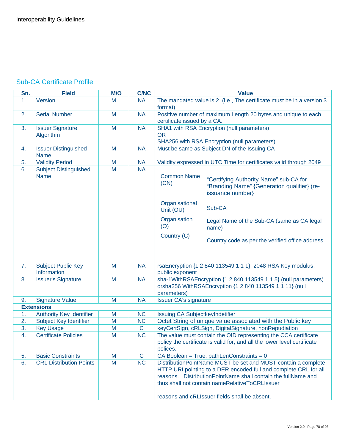## Sub-CA Certificate Profile

| Sn. | <b>Field</b>                                | M/O | <b>C/NC</b>  | <b>Value</b>                                                                                                                                                                                                                                                                                             |
|-----|---------------------------------------------|-----|--------------|----------------------------------------------------------------------------------------------------------------------------------------------------------------------------------------------------------------------------------------------------------------------------------------------------------|
| 1.  | Version                                     | M   | <b>NA</b>    | The mandated value is 2. (i.e., The certificate must be in a version 3<br>format)                                                                                                                                                                                                                        |
| 2.  | <b>Serial Number</b>                        | M   | <b>NA</b>    | Positive number of maximum Length 20 bytes and unique to each<br>certificate issued by a CA.                                                                                                                                                                                                             |
| 3.  | <b>Issuer Signature</b><br>Algorithm        | M   | <b>NA</b>    | SHA1 with RSA Encryption (null parameters)<br><b>OR</b><br>SHA256 with RSA Encryption (null parameters)                                                                                                                                                                                                  |
| 4.  | <b>Issuer Distinguished</b><br><b>Name</b>  | M   | <b>NA</b>    | Must be same as Subject DN of the Issuing CA                                                                                                                                                                                                                                                             |
| 5.  | <b>Validity Period</b>                      | M   | <b>NA</b>    | Validity expressed in UTC Time for certificates valid through 2049                                                                                                                                                                                                                                       |
| 6.  | <b>Subject Distinguished</b><br><b>Name</b> | M   | <b>NA</b>    | <b>Common Name</b><br>"Certifying Authority Name" sub-CA for<br>(CN)<br>"Branding Name" {Generation qualifier} (re-<br>issuance number}<br>Organisational<br>Sub-CA<br>Unit (OU)                                                                                                                         |
|     |                                             |     |              | Organisation<br>Legal Name of the Sub-CA (same as CA legal<br>(O)<br>name)<br>Country (C)                                                                                                                                                                                                                |
|     |                                             |     |              | Country code as per the verified office address                                                                                                                                                                                                                                                          |
| 7.  | <b>Subject Public Key</b><br>Information    | M   | <b>NA</b>    | rsaEncryption {1 2 840 113549 1 1 1}, 2048 RSA Key modulus,<br>public exponent                                                                                                                                                                                                                           |
| 8.  | <b>Issuer's Signature</b>                   | M   | <b>NA</b>    | sha-1WithRSAEncryption {1 2 840 113549 1 1 5} (null parameters)<br>orsha256 WithRSAEncryption {1 2 840 113549 1 1 11} (null<br>parameters)                                                                                                                                                               |
| 9.  | <b>Signature Value</b>                      | M   | <b>NA</b>    | <b>Issuer CA's signature</b>                                                                                                                                                                                                                                                                             |
|     | <b>Extensions</b>                           |     |              |                                                                                                                                                                                                                                                                                                          |
| 1.  | <b>Authority Key Identifier</b>             | M   | <b>NC</b>    | Issuing CA SubjectkeyIndetifier                                                                                                                                                                                                                                                                          |
| 2.  | Subject Key Identifier                      | M   | <b>NC</b>    | Octet String of unique value associated with the Public key                                                                                                                                                                                                                                              |
| 3.  | <b>Key Usage</b>                            | M   | $\mathbf C$  | keyCertSign, cRLSign, DigitalSignature, nonRepudiation                                                                                                                                                                                                                                                   |
| 4.  | <b>Certificate Policies</b>                 | M   | <b>NC</b>    | The value must contain the OID representing the CCA certificate<br>policy the certificate is valid for; and all the lower level certificate<br>polices.                                                                                                                                                  |
| 5.  | <b>Basic Constraints</b>                    | M   | $\mathsf{C}$ | CA Boolean = True, pathLenConstraints = $0$                                                                                                                                                                                                                                                              |
| 6.  | <b>CRL Distribution Points</b>              | M   | <b>NC</b>    | DistributionPointName MUST be set and MUST contain a complete<br>HTTP URI pointing to a DER encoded full and complete CRL for all<br>reasons. Distribution Point Name shall contain the full Name and<br>thus shall not contain nameRelativeToCRLIssuer<br>reasons and cRLIssuer fields shall be absent. |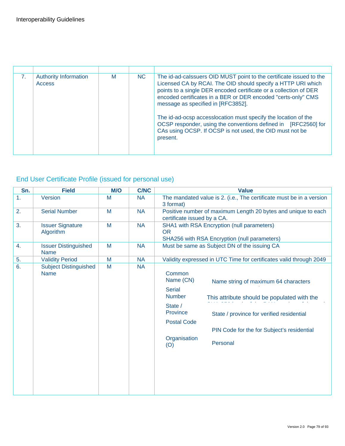| 7. | <b>Authority Information</b><br><b>Access</b> | M | N <sub>C</sub> | The id-ad-calssuers OID MUST point to the certificate issued to the<br>Licensed CA by RCAI. The OID should specify a HTTP URI which<br>points to a single DER encoded certificate or a collection of DER<br>encoded certificates in a BER or DER encoded "certs-only" CMS<br>message as specified in [RFC3852].<br>The id-ad-ocsp accesslocation must specify the location of the<br>OCSP responder, using the conventions defined in [RFC2560] for<br>CAs using OCSP. If OCSP is not used, the OID must not be<br>present. |
|----|-----------------------------------------------|---|----------------|-----------------------------------------------------------------------------------------------------------------------------------------------------------------------------------------------------------------------------------------------------------------------------------------------------------------------------------------------------------------------------------------------------------------------------------------------------------------------------------------------------------------------------|

# End User Certificate Profile (issued for personal use)

| Sn.              | <b>Field</b>                                | M/O | <b>C/NC</b> |                                                                                                                                  | <b>Value</b>                                                                                                                                                                               |
|------------------|---------------------------------------------|-----|-------------|----------------------------------------------------------------------------------------------------------------------------------|--------------------------------------------------------------------------------------------------------------------------------------------------------------------------------------------|
| 1.               | Version                                     | M   | <b>NA</b>   | 3 format)                                                                                                                        | The mandated value is 2. (i.e., The certificate must be in a version                                                                                                                       |
| 2.               | <b>Serial Number</b>                        | M   | <b>NA</b>   | certificate issued by a CA.                                                                                                      | Positive number of maximum Length 20 bytes and unique to each                                                                                                                              |
| 3.               | <b>Issuer Signature</b><br>Algorithm        | M   | <b>NA</b>   | <b>OR</b>                                                                                                                        | SHA1 with RSA Encryption (null parameters)<br>SHA256 with RSA Encryption (null parameters)                                                                                                 |
| 4.               | <b>Issuer Distinguished</b><br><b>Name</b>  | M   | <b>NA</b>   |                                                                                                                                  | Must be same as Subject DN of the issuing CA                                                                                                                                               |
| 5.               | <b>Validity Period</b>                      | M   | <b>NA</b>   |                                                                                                                                  | Validity expressed in UTC Time for certificates valid through 2049                                                                                                                         |
| $\overline{6}$ . | <b>Subject Distinguished</b><br><b>Name</b> | M   | <b>NA</b>   | Common<br>Name (CN)<br><b>Serial</b><br><b>Number</b><br>State /<br><b>Province</b><br><b>Postal Code</b><br>Organisation<br>(O) | Name string of maximum 64 characters<br>This attribute should be populated with the<br>State / province for verified residential<br>PIN Code for the for Subject's residential<br>Personal |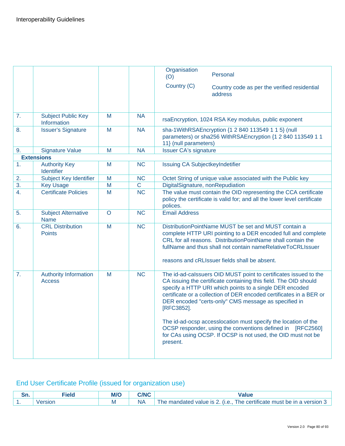|    |                                               |         |                        | Organisation<br>Personal<br>(O)<br>Country (C)<br>Country code as per the verified residential<br>address                                                                                                                                                                                                                                                                                                                                                                                                                                                |
|----|-----------------------------------------------|---------|------------------------|----------------------------------------------------------------------------------------------------------------------------------------------------------------------------------------------------------------------------------------------------------------------------------------------------------------------------------------------------------------------------------------------------------------------------------------------------------------------------------------------------------------------------------------------------------|
|    |                                               |         |                        |                                                                                                                                                                                                                                                                                                                                                                                                                                                                                                                                                          |
| 7. | <b>Subject Public Key</b><br>Information      | M       | <b>NA</b>              | rsaEncryption, 1024 RSA Key modulus, public exponent                                                                                                                                                                                                                                                                                                                                                                                                                                                                                                     |
| 8. | <b>Issuer's Signature</b>                     | M       | <b>NA</b>              | sha-1WithRSAEncryption {1 2 840 113549 1 1 5} (null<br>parameters) or sha256 WithRSAEncryption {1 2 840 113549 1 1<br>11} (null parameters)                                                                                                                                                                                                                                                                                                                                                                                                              |
| 9. | <b>Signature Value</b>                        | M       | <b>NA</b>              | <b>Issuer CA's signature</b>                                                                                                                                                                                                                                                                                                                                                                                                                                                                                                                             |
|    | <b>Extensions</b>                             |         |                        |                                                                                                                                                                                                                                                                                                                                                                                                                                                                                                                                                          |
| 1. | <b>Authority Key</b><br>Identifier            | M       | <b>NC</b>              | <b>Issuing CA SubjectkeyIndetifier</b>                                                                                                                                                                                                                                                                                                                                                                                                                                                                                                                   |
| 2. | Subject Key Identifier                        | M       | $\overline{\text{NC}}$ | Octet String of unique value associated with the Public key                                                                                                                                                                                                                                                                                                                                                                                                                                                                                              |
| 3. | <b>Key Usage</b>                              | M       | $\mathbf C$            | DigitalSignature, nonRepudiation                                                                                                                                                                                                                                                                                                                                                                                                                                                                                                                         |
| 4. | <b>Certificate Policies</b>                   | M       | <b>NC</b>              | The value must contain the OID representing the CCA certificate<br>policy the certificate is valid for; and all the lower level certificate<br>polices.                                                                                                                                                                                                                                                                                                                                                                                                  |
| 5. | <b>Subject Alternative</b><br><b>Name</b>     | $\circ$ | <b>NC</b>              | <b>Email Address</b>                                                                                                                                                                                                                                                                                                                                                                                                                                                                                                                                     |
| 6. | <b>CRL Distribution</b><br><b>Points</b>      | M       | <b>NC</b>              | DistributionPointName MUST be set and MUST contain a<br>complete HTTP URI pointing to a DER encoded full and complete<br>CRL for all reasons. DistributionPointName shall contain the<br>fullName and thus shall not contain nameRelativeToCRLIssuer<br>reasons and cRLIssuer fields shall be absent.                                                                                                                                                                                                                                                    |
| 7. | <b>Authority Information</b><br><b>Access</b> | M       | <b>NC</b>              | The id-ad-calssuers OID MUST point to certificates issued to the<br>CA issuing the certificate containing this field. The OID should<br>specify a HTTP URI which points to a single DER encoded<br>certificate or a collection of DER encoded certificates in a BER or<br>DER encoded "certs-only" CMS message as specified in<br>[RFC3852].<br>The id-ad-ocsp accesslocation must specify the location of the<br>OCSP responder, using the conventions defined in [RFC2560]<br>for CAs using OCSP. If OCSP is not used, the OID must not be<br>present. |

# End User Certificate Profile (issued for organization use)

| --<br>ЭН. | <u>ielu</u>                      | ---<br><b>M/C</b> | CMNC | lue                                                                                                   |
|-----------|----------------------------------|-------------------|------|-------------------------------------------------------------------------------------------------------|
| . .       | <b><i><u>SIOL</u></i></b><br>vei | ΙVΙ               | NΑ   | version<br>l he certificate<br>be in a<br>must<br>nandated<br>value is<br>$\mathbf{11} \bullet$<br>ne |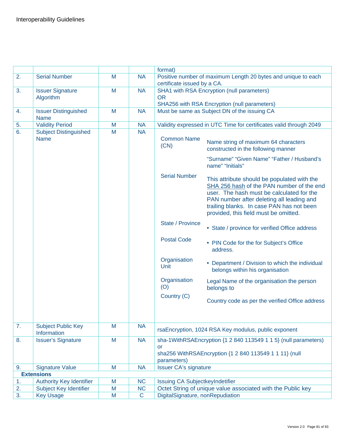|    |                                            |   |             | format)                                |                                                                                                                                                                                                                                                                          |
|----|--------------------------------------------|---|-------------|----------------------------------------|--------------------------------------------------------------------------------------------------------------------------------------------------------------------------------------------------------------------------------------------------------------------------|
| 2. | <b>Serial Number</b>                       | M | <b>NA</b>   |                                        | Positive number of maximum Length 20 bytes and unique to each                                                                                                                                                                                                            |
|    |                                            |   |             | certificate issued by a CA.            |                                                                                                                                                                                                                                                                          |
| 3. | <b>Issuer Signature</b>                    | M | <b>NA</b>   |                                        | SHA1 with RSA Encryption (null parameters)                                                                                                                                                                                                                               |
|    | Algorithm                                  |   |             | <b>OR</b>                              |                                                                                                                                                                                                                                                                          |
|    |                                            |   |             |                                        | SHA256 with RSA Encryption (null parameters)                                                                                                                                                                                                                             |
| 4. | <b>Issuer Distinguished</b><br><b>Name</b> | M | <b>NA</b>   |                                        | Must be same as Subject DN of the issuing CA                                                                                                                                                                                                                             |
| 5. | <b>Validity Period</b>                     | M | <b>NA</b>   |                                        | Validity expressed in UTC Time for certificates valid through 2049                                                                                                                                                                                                       |
| 6. | <b>Subject Distinguished</b>               | M | <b>NA</b>   |                                        |                                                                                                                                                                                                                                                                          |
|    | <b>Name</b>                                |   |             | <b>Common Name</b><br>(CN)             | Name string of maximum 64 characters<br>constructed in the following manner                                                                                                                                                                                              |
|    |                                            |   |             |                                        | "Surname" "Given Name" "Father / Husband's<br>name" "Initials"                                                                                                                                                                                                           |
|    |                                            |   |             | <b>Serial Number</b>                   | This attribute should be populated with the<br>SHA 256 hash of the PAN number of the end<br>user. The hash must be calculated for the<br>PAN number after deleting all leading and<br>trailing blanks. In case PAN has not been<br>provided, this field must be omitted. |
|    |                                            |   |             | State / Province                       | • State / province for verified Office address                                                                                                                                                                                                                           |
|    |                                            |   |             | <b>Postal Code</b>                     | • PIN Code for the for Subject's Office<br>address.                                                                                                                                                                                                                      |
|    |                                            |   |             | Organisation<br>Unit                   | • Department / Division to which the individual<br>belongs within his organisation                                                                                                                                                                                       |
|    |                                            |   |             | Organisation<br>(O)                    | Legal Name of the organisation the person<br>belongs to                                                                                                                                                                                                                  |
|    |                                            |   |             | Country (C)                            | Country code as per the verified Office address                                                                                                                                                                                                                          |
| 7. | <b>Subject Public Key</b><br>Information   | M | <b>NA</b>   |                                        | rsaEncryption, 1024 RSA Key modulus, public exponent                                                                                                                                                                                                                     |
| 8. | <b>Issuer's Signature</b>                  | M | <b>NA</b>   | or<br>parameters)                      | sha-1WithRSAEncryption {1 2 840 113549 1 1 5} (null parameters)<br>sha256 WithRSAEncryption {1 2 840 113549 1 1 11} (null                                                                                                                                                |
| 9. | <b>Signature Value</b>                     | M | <b>NA</b>   | <b>Issuer CA's signature</b>           |                                                                                                                                                                                                                                                                          |
|    | <b>Extensions</b>                          |   |             |                                        |                                                                                                                                                                                                                                                                          |
| 1. | <b>Authority Key Identifier</b>            | M | <b>NC</b>   | <b>Issuing CA SubjectkeyIndetifier</b> |                                                                                                                                                                                                                                                                          |
| 2. | Subject Key Identifier                     | M | <b>NC</b>   |                                        | Octet String of unique value associated with the Public key                                                                                                                                                                                                              |
| 3. | <b>Key Usage</b>                           | M | $\mathbf C$ | DigitalSignature, nonRepudiation       |                                                                                                                                                                                                                                                                          |
|    |                                            |   |             |                                        |                                                                                                                                                                                                                                                                          |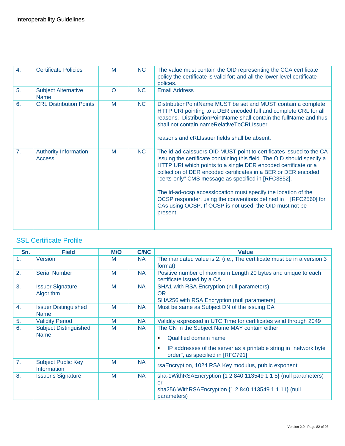| $\overline{4}$ . | <b>Certificate Policies</b>                   | M        | <b>NC</b> | The value must contain the OID representing the CCA certificate<br>policy the certificate is valid for; and all the lower level certificate<br>polices.                                                                                                                                                                                                                                                                                                                                                                                               |
|------------------|-----------------------------------------------|----------|-----------|-------------------------------------------------------------------------------------------------------------------------------------------------------------------------------------------------------------------------------------------------------------------------------------------------------------------------------------------------------------------------------------------------------------------------------------------------------------------------------------------------------------------------------------------------------|
| 5.               | <b>Subject Alternative</b><br><b>Name</b>     | $\Omega$ | <b>NC</b> | <b>Email Address</b>                                                                                                                                                                                                                                                                                                                                                                                                                                                                                                                                  |
| 6.               | <b>CRL Distribution Points</b>                | M        | <b>NC</b> | Distribution Point Name MUST be set and MUST contain a complete<br>HTTP URI pointing to a DER encoded full and complete CRL for all<br>reasons. Distribution Point Name shall contain the full Name and thus<br>shall not contain nameRelativeToCRLIssuer<br>reasons and cRLIssuer fields shall be absent.                                                                                                                                                                                                                                            |
| 7.               | <b>Authority Information</b><br><b>Access</b> | M        | NC        | The id-ad-calssuers OID MUST point to certificates issued to the CA<br>issuing the certificate containing this field. The OID should specify a<br>HTTP URI which points to a single DER encoded certificate or a<br>collection of DER encoded certificates in a BER or DER encoded<br>"certs-only" CMS message as specified in [RFC3852].<br>The id-ad-ocsp accesslocation must specify the location of the<br>OCSP responder, using the conventions defined in [RFC2560] for<br>CAs using OCSP. If OCSP is not used, the OID must not be<br>present. |

## **SSL Certificate Profile**

| Sn. | <b>Field</b>                                    | <b>M/O</b> | <b>C/NC</b> | <b>Value</b>                                                                                                                                                                               |
|-----|-------------------------------------------------|------------|-------------|--------------------------------------------------------------------------------------------------------------------------------------------------------------------------------------------|
| 1.  | <b>Version</b>                                  | M          | <b>NA</b>   | The mandated value is 2. (i.e., The certificate must be in a version 3<br>format)                                                                                                          |
| 2.  | <b>Serial Number</b>                            | M          | <b>NA</b>   | Positive number of maximum Length 20 bytes and unique to each<br>certificate issued by a CA.                                                                                               |
| 3.  | <b>Issuer Signature</b><br>Algorithm            | M          | <b>NA</b>   | SHA1 with RSA Encryption (null parameters)<br><b>OR</b><br>SHA256 with RSA Encryption (null parameters)                                                                                    |
| 4.  | <b>Issuer Distinguished</b><br><b>Name</b>      | M          | <b>NA</b>   | Must be same as Subject DN of the issuing CA                                                                                                                                               |
| 5.  | <b>Validity Period</b>                          | M          | <b>NA</b>   | Validity expressed in UTC Time for certificates valid through 2049                                                                                                                         |
| 6.  | <b>Subject Distinguished</b><br><b>Name</b>     | M          | NA.         | The CN in the Subject Name MAY contain either<br>Qualified domain name<br>٠<br>IP addresses of the server as a printable string in "network byte"<br>п<br>order", as specified in [RFC791] |
| 7.  | <b>Subject Public Key</b><br><b>Information</b> | M          | <b>NA</b>   | rsaEncryption, 1024 RSA Key modulus, public exponent                                                                                                                                       |
| 8.  | <b>Issuer's Signature</b>                       | M          | <b>NA</b>   | sha-1WithRSAEncryption $\{1\ 2\ 840\ 113549\ 1\ 1\ 5\}$ (null parameters)<br>or<br>sha256 WithRSAEncryption {1 2 840 113549 1 1 11} (null<br>parameters)                                   |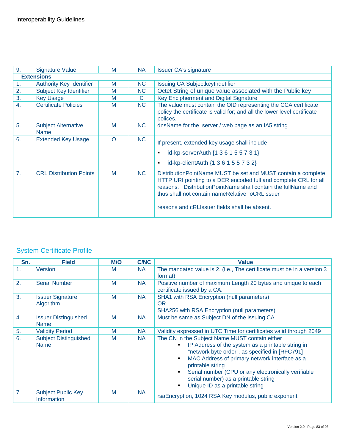| 9.               | <b>Signature Value</b>                    | M        | <b>NA</b> | <b>Issuer CA's signature</b>                                                                                                                                                                                                                                                                              |
|------------------|-------------------------------------------|----------|-----------|-----------------------------------------------------------------------------------------------------------------------------------------------------------------------------------------------------------------------------------------------------------------------------------------------------------|
|                  | <b>Extensions</b>                         |          |           |                                                                                                                                                                                                                                                                                                           |
| 1.               | <b>Authority Key Identifier</b>           | M        | NC.       | <b>Issuing CA SubjectkeyIndetifier</b>                                                                                                                                                                                                                                                                    |
| 2.               | Subject Key Identifier                    | M        | <b>NC</b> | Octet String of unique value associated with the Public key                                                                                                                                                                                                                                               |
| 3.               | <b>Key Usage</b>                          | M        | C.        | Key Encipherment and Digital Signature                                                                                                                                                                                                                                                                    |
| $\overline{4}$ . | <b>Certificate Policies</b>               | M        | NC.       | The value must contain the OID representing the CCA certificate<br>policy the certificate is valid for; and all the lower level certificate<br>polices.                                                                                                                                                   |
| 5.               | <b>Subject Alternative</b><br><b>Name</b> | M        | <b>NC</b> | dnsName for the server / web page as an IA5 string                                                                                                                                                                                                                                                        |
| 6.               | <b>Extended Key Usage</b>                 | $\Omega$ | NC.       | If present, extended key usage shall include<br>id-kp-serverAuth {1 3 6 1 5 5 7 3 1}<br>id-kp-clientAuth {1 3 6 1 5 5 7 3 2}<br>٠                                                                                                                                                                         |
| 7.               | <b>CRL Distribution Points</b>            | M        | NC        | Distribution PointName MUST be set and MUST contain a complete<br>HTTP URI pointing to a DER encoded full and complete CRL for all<br>reasons. Distribution Point Name shall contain the full Name and<br>thus shall not contain nameRelativeToCRLIssuer<br>reasons and cRLIssuer fields shall be absent. |

# System Certificate Profile

| Sn. | <b>Field</b>                                | M/O | <b>C/NC</b> | <b>Value</b>                                                                                                                                                                                                                                                                                                                                                                         |
|-----|---------------------------------------------|-----|-------------|--------------------------------------------------------------------------------------------------------------------------------------------------------------------------------------------------------------------------------------------------------------------------------------------------------------------------------------------------------------------------------------|
| 1.  | Version                                     | M   | <b>NA</b>   | The mandated value is 2. (i.e., The certificate must be in a version 3<br>format)                                                                                                                                                                                                                                                                                                    |
| 2.  | <b>Serial Number</b>                        | M   | <b>NA</b>   | Positive number of maximum Length 20 bytes and unique to each<br>certificate issued by a CA.                                                                                                                                                                                                                                                                                         |
| 3.  | <b>Issuer Signature</b><br>Algorithm        | M   | <b>NA</b>   | SHA1 with RSA Encryption (null parameters)<br><b>OR</b><br>SHA256 with RSA Encryption (null parameters)                                                                                                                                                                                                                                                                              |
| 4.  | <b>Issuer Distinguished</b><br><b>Name</b>  | M   | <b>NA</b>   | Must be same as Subject DN of the issuing CA                                                                                                                                                                                                                                                                                                                                         |
| 5.  | <b>Validity Period</b>                      | M   | <b>NA</b>   | Validity expressed in UTC Time for certificates valid through 2049                                                                                                                                                                                                                                                                                                                   |
| 6.  | <b>Subject Distinguished</b><br><b>Name</b> | M   | <b>NA</b>   | The CN in the Subject Name MUST contain either<br>IP Address of the system as a printable string in<br>"network byte order", as specified in [RFC791]<br>MAC Address of primary network interface as a<br>$\blacksquare$<br>printable string<br>Serial number (CPU or any electronically verifiable<br>٠.<br>serial number) as a printable string<br>Unique ID as a printable string |
| 7.  | <b>Subject Public Key</b><br>Information    | M   | <b>NA</b>   | rsaEncryption, 1024 RSA Key modulus, public exponent                                                                                                                                                                                                                                                                                                                                 |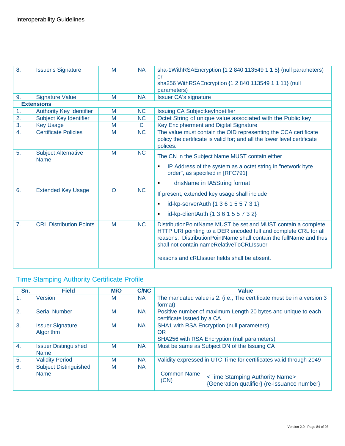| 8.               | <b>Issuer's Signature</b>                 | M        | <b>NA</b> | sha-1WithRSAEncryption {1 2 840 113549 1 1 5} (null parameters)<br>or<br>sha256 WithRSAEncryption {1 2 840 113549 1 1 11} (null<br>parameters)                                                                                                                                                           |
|------------------|-------------------------------------------|----------|-----------|----------------------------------------------------------------------------------------------------------------------------------------------------------------------------------------------------------------------------------------------------------------------------------------------------------|
| 9.               | <b>Signature Value</b>                    | M        | <b>NA</b> | <b>Issuer CA's signature</b>                                                                                                                                                                                                                                                                             |
|                  | <b>Extensions</b>                         |          |           |                                                                                                                                                                                                                                                                                                          |
| 1.<br>2.         | <b>Authority Key Identifier</b>           | M        | <b>NC</b> | Issuing CA SubjectkeyIndetifier                                                                                                                                                                                                                                                                          |
|                  | Subject Key Identifier                    | M        | <b>NC</b> | Octet String of unique value associated with the Public key                                                                                                                                                                                                                                              |
| 3.               | <b>Key Usage</b>                          | M        | C         | Key Encipherment and Digital Signature                                                                                                                                                                                                                                                                   |
| $\overline{4}$ . | <b>Certificate Policies</b>               | M        | <b>NC</b> | The value must contain the OID representing the CCA certificate<br>policy the certificate is valid for; and all the lower level certificate<br>polices.                                                                                                                                                  |
| 5.               | <b>Subject Alternative</b><br><b>Name</b> | M        | <b>NC</b> | The CN in the Subject Name MUST contain either<br>IP Address of the system as a octet string in "network byte<br>٠<br>order", as specified in [RFC791]<br>dnsName in IA5String format                                                                                                                    |
| 6.               | <b>Extended Key Usage</b>                 | $\Omega$ | <b>NC</b> | If present, extended key usage shall include<br>id-kp-serverAuth {1 3 6 1 5 5 7 3 1}<br>$\blacksquare$<br>id-kp-clientAuth {1 3 6 1 5 5 7 3 2}<br>٠                                                                                                                                                      |
| 7 <sub>1</sub>   | <b>CRL Distribution Points</b>            | M        | <b>NC</b> | DistributionPointName MUST be set and MUST contain a complete<br>HTTP URI pointing to a DER encoded full and complete CRL for all<br>reasons. Distribution Point Name shall contain the full Name and thus<br>shall not contain nameRelativeToCRLIssuer<br>reasons and cRLIssuer fields shall be absent. |

# Time Stamping Authority Certificate Profile

| Sn.              | <b>Field</b>                                | <b>M/O</b> | <b>C/NC</b> | <b>Value</b>                                                                                                                  |  |
|------------------|---------------------------------------------|------------|-------------|-------------------------------------------------------------------------------------------------------------------------------|--|
| 1 <sub>1</sub>   | <b>Version</b>                              | M          | <b>NA</b>   | The mandated value is 2. (i.e., The certificate must be in a version 3<br>format)                                             |  |
| 2.               | <b>Serial Number</b>                        | M          | <b>NA</b>   | Positive number of maximum Length 20 bytes and unique to each<br>certificate issued by a CA.                                  |  |
| 3.               | <b>Issuer Signature</b><br>Algorithm        | M          | <b>NA</b>   | SHA1 with RSA Encryption (null parameters)<br><b>OR</b><br>SHA256 with RSA Encryption (null parameters)                       |  |
| $\overline{4}$ . | <b>Issuer Distinguished</b><br><b>Name</b>  | M          | <b>NA</b>   | Must be same as Subject DN of the Issuing CA                                                                                  |  |
| 5.               | <b>Validity Period</b>                      | M          | <b>NA</b>   | Validity expressed in UTC Time for certificates valid through 2049                                                            |  |
| 6.               | <b>Subject Distinguished</b><br><b>Name</b> | M          | <b>NA</b>   | <b>Common Name</b><br><time authority="" name="" stamping=""><br/>(CN)<br/>{Generation qualifier} (re-issuance number}</time> |  |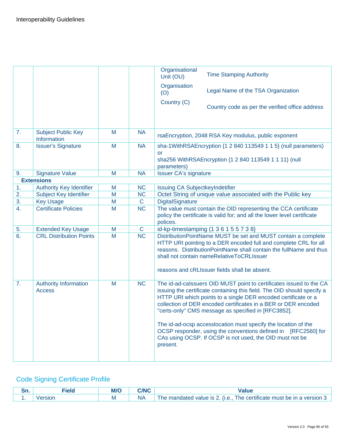|                  |                                               |   |              | Organisational<br><b>Time Stamping Authority</b><br>Unit (OU)                                                                                                                                                                                                                                                                                                                                                                                                                                                                                         |
|------------------|-----------------------------------------------|---|--------------|-------------------------------------------------------------------------------------------------------------------------------------------------------------------------------------------------------------------------------------------------------------------------------------------------------------------------------------------------------------------------------------------------------------------------------------------------------------------------------------------------------------------------------------------------------|
|                  |                                               |   |              | Organisation<br>Legal Name of the TSA Organization<br>(O)                                                                                                                                                                                                                                                                                                                                                                                                                                                                                             |
|                  |                                               |   |              | Country (C)<br>Country code as per the verified office address                                                                                                                                                                                                                                                                                                                                                                                                                                                                                        |
| 7.               | <b>Subject Public Key</b><br>Information      | M | <b>NA</b>    | rsaEncryption, 2048 RSA Key modulus, public exponent                                                                                                                                                                                                                                                                                                                                                                                                                                                                                                  |
| 8.               | <b>Issuer's Signature</b>                     | M | <b>NA</b>    | sha-1WithRSAEncryption {1 2 840 113549 1 1 5} (null parameters)<br><b>or</b><br>sha256 WithRSAEncryption {1 2 840 113549 1 1 11} (null<br>parameters)                                                                                                                                                                                                                                                                                                                                                                                                 |
| 9.               | <b>Signature Value</b>                        | M | <b>NA</b>    | <b>Issuer CA's signature</b>                                                                                                                                                                                                                                                                                                                                                                                                                                                                                                                          |
|                  | <b>Extensions</b>                             |   |              |                                                                                                                                                                                                                                                                                                                                                                                                                                                                                                                                                       |
| 1.               | <b>Authority Key Identifier</b>               | M | <b>NC</b>    | Issuing CA SubjectkeyIndetifier                                                                                                                                                                                                                                                                                                                                                                                                                                                                                                                       |
| 2.               | Subject Key Identifier                        | M | <b>NC</b>    | Octet String of unique value associated with the Public key                                                                                                                                                                                                                                                                                                                                                                                                                                                                                           |
| 3.               | <b>Key Usage</b>                              | M | $\mathsf{C}$ | DigitalSignature                                                                                                                                                                                                                                                                                                                                                                                                                                                                                                                                      |
| $\overline{4}$ . | <b>Certificate Policies</b>                   | M | <b>NC</b>    | The value must contain the OID representing the CCA certificate<br>policy the certificate is valid for; and all the lower level certificate<br>polices.                                                                                                                                                                                                                                                                                                                                                                                               |
| 5.               | <b>Extended Key Usage</b>                     | M | $\mathsf C$  | id-kp-timestamping {1 3 6 1 5 5 7 3 8}                                                                                                                                                                                                                                                                                                                                                                                                                                                                                                                |
| 6.               | <b>CRL Distribution Points</b>                | M | <b>NC</b>    | DistributionPointName MUST be set and MUST contain a complete<br>HTTP URI pointing to a DER encoded full and complete CRL for all<br>reasons. DistributionPointName shall contain the fullName and thus<br>shall not contain nameRelativeToCRLIssuer<br>reasons and cRLIssuer fields shall be absent.                                                                                                                                                                                                                                                 |
| 7.               | <b>Authority Information</b><br><b>Access</b> | M | <b>NC</b>    | The id-ad-calssuers OID MUST point to certificates issued to the CA<br>issuing the certificate containing this field. The OID should specify a<br>HTTP URI which points to a single DER encoded certificate or a<br>collection of DER encoded certificates in a BER or DER encoded<br>"certs-only" CMS message as specified in [RFC3852].<br>The id-ad-ocsp accesslocation must specify the location of the<br>OCSP responder, using the conventions defined in [RFC2560] for<br>CAs using OCSP. If OCSP is not used, the OID must not be<br>present. |

# Code Signing Certificate Profile

| UI I. | ----<br><b>MVC</b> | 5/110 |                                                                                 |
|-------|--------------------|-------|---------------------------------------------------------------------------------|
| . .   |                    | NÆ    | The certificate must be in a version 3<br>l he mandated value is 2.<br>$($ .e., |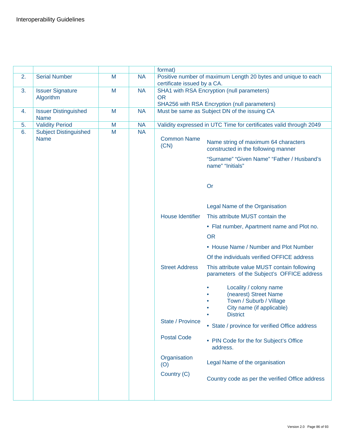|    |                                             |   |           | format)                     |                                                                                                                            |
|----|---------------------------------------------|---|-----------|-----------------------------|----------------------------------------------------------------------------------------------------------------------------|
| 2. | <b>Serial Number</b>                        | M | <b>NA</b> | certificate issued by a CA. | Positive number of maximum Length 20 bytes and unique to each                                                              |
| 3. | <b>Issuer Signature</b><br>Algorithm        | M | <b>NA</b> | <b>OR</b>                   | SHA1 with RSA Encryption (null parameters)                                                                                 |
|    |                                             |   |           |                             | SHA256 with RSA Encryption (null parameters)                                                                               |
| 4. | <b>Issuer Distinguished</b><br><b>Name</b>  | M | <b>NA</b> |                             | Must be same as Subject DN of the issuing CA                                                                               |
| 5. | <b>Validity Period</b>                      | M | <b>NA</b> |                             | Validity expressed in UTC Time for certificates valid through 2049                                                         |
| 6. | <b>Subject Distinguished</b><br><b>Name</b> | M | <b>NA</b> | <b>Common Name</b><br>(CN)  | Name string of maximum 64 characters<br>constructed in the following manner                                                |
|    |                                             |   |           |                             | "Surname" "Given Name" "Father / Husband's<br>name" "Initials"                                                             |
|    |                                             |   |           |                             | Or                                                                                                                         |
|    |                                             |   |           |                             | Legal Name of the Organisation                                                                                             |
|    |                                             |   |           | <b>House Identifier</b>     | This attribute MUST contain the                                                                                            |
|    |                                             |   |           |                             | • Flat number, Apartment name and Plot no.                                                                                 |
|    |                                             |   |           |                             | <b>OR</b>                                                                                                                  |
|    |                                             |   |           |                             | • House Name / Number and Plot Number                                                                                      |
|    |                                             |   |           |                             | Of the individuals verified OFFICE address                                                                                 |
|    |                                             |   |           | <b>Street Address</b>       | This attribute value MUST contain following<br>parameters of the Subject's OFFICE address                                  |
|    |                                             |   |           |                             | Locality / colony name<br>(nearest) Street Name<br>Town / Suburb / Village<br>City name (if applicable)<br><b>District</b> |
|    |                                             |   |           | State / Province            | • State / province for verified Office address                                                                             |
|    |                                             |   |           | <b>Postal Code</b>          | • PIN Code for the for Subject's Office<br>address.                                                                        |
|    |                                             |   |           | Organisation<br>(O)         | Legal Name of the organisation                                                                                             |
|    |                                             |   |           | Country (C)                 | Country code as per the verified Office address                                                                            |
|    |                                             |   |           |                             |                                                                                                                            |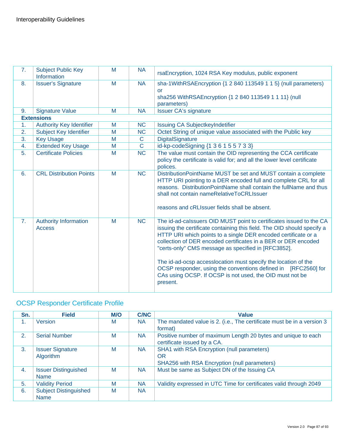| 7. | <b>Subject Public Key</b><br>Information      | M | <b>NA</b>      | rsaEncryption, 1024 RSA Key modulus, public exponent                                                                                                                                                                                                                                                                                                                                                                                                                                                                                                  |
|----|-----------------------------------------------|---|----------------|-------------------------------------------------------------------------------------------------------------------------------------------------------------------------------------------------------------------------------------------------------------------------------------------------------------------------------------------------------------------------------------------------------------------------------------------------------------------------------------------------------------------------------------------------------|
| 8. | <b>Issuer's Signature</b>                     | M | <b>NA</b>      | sha-1WithRSAEncryption {1 2 840 113549 1 1 5} (null parameters)<br><b>or</b><br>sha256 WithRSAEncryption {1 2 840 113549 1 1 11} (null<br>parameters)                                                                                                                                                                                                                                                                                                                                                                                                 |
| 9. | <b>Signature Value</b>                        | M | <b>NA</b>      | <b>Issuer CA's signature</b>                                                                                                                                                                                                                                                                                                                                                                                                                                                                                                                          |
|    | <b>Extensions</b>                             |   |                |                                                                                                                                                                                                                                                                                                                                                                                                                                                                                                                                                       |
| 1. | <b>Authority Key Identifier</b>               | M | <b>NC</b>      | <b>Issuing CA SubjectkeyIndetifier</b>                                                                                                                                                                                                                                                                                                                                                                                                                                                                                                                |
| 2. | Subject Key Identifier                        | M | <b>NC</b>      | Octet String of unique value associated with the Public key                                                                                                                                                                                                                                                                                                                                                                                                                                                                                           |
| 3. | <b>Key Usage</b>                              | M | $\mathsf C$    | <b>DigitalSignature</b>                                                                                                                                                                                                                                                                                                                                                                                                                                                                                                                               |
| 4. | <b>Extended Key Usage</b>                     | M | $\overline{C}$ | id-kp-codeSigning {1 3 6 1 5 5 7 3 3}                                                                                                                                                                                                                                                                                                                                                                                                                                                                                                                 |
| 5. | <b>Certificate Policies</b>                   | M | <b>NC</b>      | The value must contain the OID representing the CCA certificate<br>policy the certificate is valid for; and all the lower level certificate<br>polices.                                                                                                                                                                                                                                                                                                                                                                                               |
| 6. | <b>CRL Distribution Points</b>                | M | <b>NC</b>      | DistributionPointName MUST be set and MUST contain a complete<br>HTTP URI pointing to a DER encoded full and complete CRL for all<br>reasons. Distribution PointName shall contain the fullName and thus<br>shall not contain nameRelativeToCRLIssuer<br>reasons and cRLIssuer fields shall be absent.                                                                                                                                                                                                                                                |
| 7. | <b>Authority Information</b><br><b>Access</b> | M | <b>NC</b>      | The id-ad-calssuers OID MUST point to certificates issued to the CA<br>issuing the certificate containing this field. The OID should specify a<br>HTTP URI which points to a single DER encoded certificate or a<br>collection of DER encoded certificates in a BER or DER encoded<br>"certs-only" CMS message as specified in [RFC3852].<br>The id-ad-ocsp accesslocation must specify the location of the<br>OCSP responder, using the conventions defined in [RFC2560] for<br>CAs using OCSP. If OCSP is not used, the OID must not be<br>present. |

# OCSP Responder Certificate Profile

| Sn. | <b>Field</b>                 | <b>M/O</b> | <b>C/NC</b> | <b>Value</b>                                                           |
|-----|------------------------------|------------|-------------|------------------------------------------------------------------------|
| 1.  | Version                      | M          | <b>NA</b>   | The mandated value is 2. (i.e., The certificate must be in a version 3 |
|     |                              |            |             | format)                                                                |
| 2.  | <b>Serial Number</b>         | M          | NA.         | Positive number of maximum Length 20 bytes and unique to each          |
|     |                              |            |             | certificate issued by a CA.                                            |
| 3.  | <b>Issuer Signature</b>      | M          | NA.         | SHA1 with RSA Encryption (null parameters)                             |
|     | Algorithm                    |            |             | OR                                                                     |
|     |                              |            |             | SHA256 with RSA Encryption (null parameters)                           |
| 4.  | <b>Issuer Distinguished</b>  | M          | <b>NA</b>   | Must be same as Subject DN of the Issuing CA                           |
|     | <b>Name</b>                  |            |             |                                                                        |
| 5.  | <b>Validity Period</b>       | M          | <b>NA</b>   | Validity expressed in UTC Time for certificates valid through 2049     |
| 6.  | <b>Subject Distinguished</b> | M          | <b>NA</b>   |                                                                        |
|     | <b>Name</b>                  |            |             |                                                                        |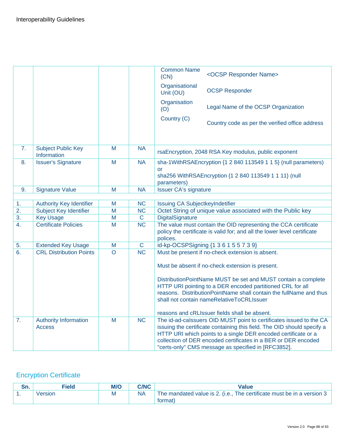|                  |                                               |                         |                        | <b>Common Name</b><br>(CN)                                  | <ocsp name="" responder=""></ocsp>                                                                                                                                                                                                                                                                                                        |
|------------------|-----------------------------------------------|-------------------------|------------------------|-------------------------------------------------------------|-------------------------------------------------------------------------------------------------------------------------------------------------------------------------------------------------------------------------------------------------------------------------------------------------------------------------------------------|
|                  |                                               |                         |                        | Organisational<br>Unit (OU)                                 | <b>OCSP Responder</b>                                                                                                                                                                                                                                                                                                                     |
|                  |                                               |                         |                        | Organisation<br>(O)                                         | Legal Name of the OCSP Organization                                                                                                                                                                                                                                                                                                       |
|                  |                                               |                         |                        | Country (C)                                                 | Country code as per the verified office address                                                                                                                                                                                                                                                                                           |
| 7.               | <b>Subject Public Key</b><br>Information      | M                       | <b>NA</b>              |                                                             | rsaEncryption, 2048 RSA Key modulus, public exponent                                                                                                                                                                                                                                                                                      |
| 8.               | <b>Issuer's Signature</b>                     | M                       | <b>NA</b>              | <b>or</b><br>parameters)                                    | sha-1WithRSAEncryption {1 2 840 113549 1 1 5} (null parameters)<br>sha256 WithRSAEncryption {1 2 840 113549 1 1 11} (null                                                                                                                                                                                                                 |
| 9.               | <b>Signature Value</b>                        | M                       | <b>NA</b>              | <b>Issuer CA's signature</b>                                |                                                                                                                                                                                                                                                                                                                                           |
|                  |                                               |                         |                        |                                                             |                                                                                                                                                                                                                                                                                                                                           |
| 1.               | <b>Authority Key Identifier</b>               | M                       | <b>NC</b>              | <b>Issuing CA SubjectkeyIndetifier</b>                      |                                                                                                                                                                                                                                                                                                                                           |
| 2.               | <b>Subject Key Identifier</b>                 | M                       | <b>NC</b>              | Octet String of unique value associated with the Public key |                                                                                                                                                                                                                                                                                                                                           |
| $\overline{3}$ . | <b>Key Usage</b>                              | $\overline{\mathsf{M}}$ | $\overline{C}$         | <b>DigitalSignature</b>                                     |                                                                                                                                                                                                                                                                                                                                           |
| $\overline{4}$ . | <b>Certificate Policies</b>                   | M                       | <b>NC</b>              | polices.                                                    | The value must contain the OID representing the CCA certificate<br>policy the certificate is valid for; and all the lower level certificate                                                                                                                                                                                               |
| 5.               | <b>Extended Key Usage</b>                     | M                       | $\mathbf C$            |                                                             | id-kp-OCSPSigning {1 3 6 1 5 5 7 3 9}                                                                                                                                                                                                                                                                                                     |
| 6.               | <b>CRL Distribution Points</b>                | $\Omega$                | $\overline{\text{NC}}$ |                                                             | Must be present if no-check extension is absent.                                                                                                                                                                                                                                                                                          |
|                  |                                               |                         |                        |                                                             | Must be absent if no-check extension is present.                                                                                                                                                                                                                                                                                          |
|                  |                                               |                         |                        |                                                             | DistributionPointName MUST be set and MUST contain a complete<br>HTTP URI pointing to a DER encoded partitioned CRL for all<br>reasons. DistributionPointName shall contain the fullName and thus<br>shall not contain nameRelativeToCRLIssuer                                                                                            |
|                  |                                               |                         |                        |                                                             | reasons and cRLIssuer fields shall be absent.                                                                                                                                                                                                                                                                                             |
| 7.               | <b>Authority Information</b><br><b>Access</b> | M                       | <b>NC</b>              |                                                             | The id-ad-calssuers OID MUST point to certificates issued to the CA<br>issuing the certificate containing this field. The OID should specify a<br>HTTP URI which points to a single DER encoded certificate or a<br>collection of DER encoded certificates in a BER or DER encoded<br>"certs-only" CMS message as specified in [RFC3852]. |

# Encryption Certificate

|     | Field   |   | <b>C/NC</b> | Value                                                                                    |
|-----|---------|---|-------------|------------------------------------------------------------------------------------------|
| . . | /ersion | M |             | The mandated value is 2. (i.e., The certificate must be in a version $3 \mid$<br>rormat) |
|     |         |   |             |                                                                                          |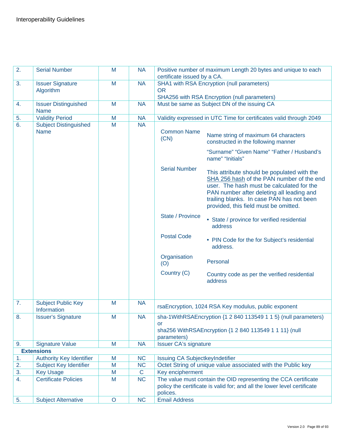| 2. | <b>Serial Number</b>                     | M       | <b>NA</b>   | certificate issued by a CA.                                                                                                                             | Positive number of maximum Length 20 bytes and unique to each                                                                                                                                                                                                            |
|----|------------------------------------------|---------|-------------|---------------------------------------------------------------------------------------------------------------------------------------------------------|--------------------------------------------------------------------------------------------------------------------------------------------------------------------------------------------------------------------------------------------------------------------------|
| 3. | <b>Issuer Signature</b><br>Algorithm     | M       | <b>NA</b>   | <b>OR</b>                                                                                                                                               | SHA1 with RSA Encryption (null parameters)                                                                                                                                                                                                                               |
|    |                                          |         |             |                                                                                                                                                         | SHA256 with RSA Encryption (null parameters)                                                                                                                                                                                                                             |
| 4. | <b>Issuer Distinguished</b>              | M       | <b>NA</b>   |                                                                                                                                                         | Must be same as Subject DN of the issuing CA                                                                                                                                                                                                                             |
|    | <b>Name</b>                              |         |             |                                                                                                                                                         |                                                                                                                                                                                                                                                                          |
| 5. | <b>Validity Period</b>                   | M       | <b>NA</b>   |                                                                                                                                                         | Validity expressed in UTC Time for certificates valid through 2049                                                                                                                                                                                                       |
| 6. | <b>Subject Distinguished</b>             | M       | <b>NA</b>   |                                                                                                                                                         |                                                                                                                                                                                                                                                                          |
|    | <b>Name</b>                              |         |             | <b>Common Name</b><br>(CN)                                                                                                                              | Name string of maximum 64 characters<br>constructed in the following manner                                                                                                                                                                                              |
|    |                                          |         |             |                                                                                                                                                         | "Surname" "Given Name" "Father / Husband's<br>name" "Initials"                                                                                                                                                                                                           |
|    |                                          |         |             | <b>Serial Number</b>                                                                                                                                    | This attribute should be populated with the<br>SHA 256 hash of the PAN number of the end<br>user. The hash must be calculated for the<br>PAN number after deleting all leading and<br>trailing blanks. In case PAN has not been<br>provided, this field must be omitted. |
|    |                                          |         |             | State / Province                                                                                                                                        | • State / province for verified residential<br>address                                                                                                                                                                                                                   |
|    |                                          |         |             | <b>Postal Code</b>                                                                                                                                      | • PIN Code for the for Subject's residential<br>address.                                                                                                                                                                                                                 |
|    |                                          |         |             | Organisation<br>(O)                                                                                                                                     | Personal                                                                                                                                                                                                                                                                 |
|    |                                          |         |             | Country (C)                                                                                                                                             | Country code as per the verified residential<br>address                                                                                                                                                                                                                  |
|    |                                          |         |             |                                                                                                                                                         |                                                                                                                                                                                                                                                                          |
| 7. | <b>Subject Public Key</b><br>Information | M       | <b>NA</b>   |                                                                                                                                                         | rsaEncryption, 1024 RSA Key modulus, public exponent                                                                                                                                                                                                                     |
| 8. | <b>Issuer's Signature</b>                | M       | <b>NA</b>   |                                                                                                                                                         | sha-1WithRSAEncryption {1 2 840 113549 1 1 5} (null parameters)                                                                                                                                                                                                          |
|    |                                          |         |             | or                                                                                                                                                      |                                                                                                                                                                                                                                                                          |
|    |                                          |         |             |                                                                                                                                                         | sha256 WithRSAEncryption {1 2 840 113549 1 1 11} (null                                                                                                                                                                                                                   |
|    |                                          |         |             | parameters)                                                                                                                                             |                                                                                                                                                                                                                                                                          |
| 9. | <b>Signature Value</b>                   | M       | <b>NA</b>   | <b>Issuer CA's signature</b>                                                                                                                            |                                                                                                                                                                                                                                                                          |
|    | <b>Extensions</b>                        |         |             |                                                                                                                                                         |                                                                                                                                                                                                                                                                          |
| 1. | <b>Authority Key Identifier</b>          | M       | <b>NC</b>   | Issuing CA SubjectkeyIndetifier                                                                                                                         |                                                                                                                                                                                                                                                                          |
| 2. | <b>Subject Key Identifier</b>            | M       | <b>NC</b>   | Octet String of unique value associated with the Public key                                                                                             |                                                                                                                                                                                                                                                                          |
| 3. | <b>Key Usage</b>                         | M       | $\mathbf C$ | Key encipherment                                                                                                                                        |                                                                                                                                                                                                                                                                          |
| 4. | <b>Certificate Policies</b>              | M       | <b>NC</b>   | The value must contain the OID representing the CCA certificate<br>policy the certificate is valid for; and all the lower level certificate<br>polices. |                                                                                                                                                                                                                                                                          |
| 5. | <b>Subject Alternative</b>               | $\circ$ | <b>NC</b>   | <b>Email Address</b>                                                                                                                                    |                                                                                                                                                                                                                                                                          |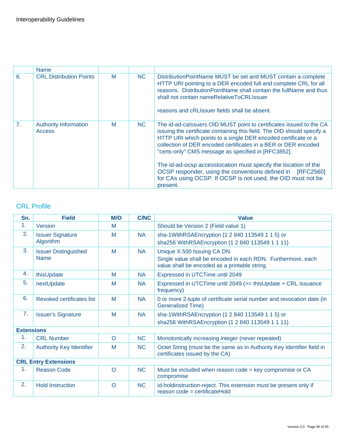|                | <b>Name</b>                                   |   |           |                                                                                                                                                                                                                                                                                                                                                                                                                                                                                                                                                       |
|----------------|-----------------------------------------------|---|-----------|-------------------------------------------------------------------------------------------------------------------------------------------------------------------------------------------------------------------------------------------------------------------------------------------------------------------------------------------------------------------------------------------------------------------------------------------------------------------------------------------------------------------------------------------------------|
| 6.             | <b>CRL Distribution Points</b>                | M | <b>NC</b> | DistributionPointName MUST be set and MUST contain a complete<br>HTTP URI pointing to a DER encoded full and complete CRL for all<br>reasons. Distribution Point Name shall contain the full Name and thus<br>shall not contain nameRelativeToCRLIssuer<br>reasons and cRLIssuer fields shall be absent.                                                                                                                                                                                                                                              |
| 7 <sub>1</sub> | <b>Authority Information</b><br><b>Access</b> | M | <b>NC</b> | The id-ad-calssuers OID MUST point to certificates issued to the CA<br>issuing the certificate containing this field. The OID should specify a<br>HTTP URI which points to a single DER encoded certificate or a<br>collection of DER encoded certificates in a BER or DER encoded<br>"certs-only" CMS message as specified in [RFC3852].<br>The id-ad-ocsp accesslocation must specify the location of the<br>OCSP responder, using the conventions defined in [RFC2560]<br>for CAs using OCSP. If OCSP is not used, the OID must not be<br>present. |

### CRL Profile

| Sn.                         | <b>Field</b>                               | <b>M/O</b> | <b>C/NC</b> | <b>Value</b>                                                                                                                                |
|-----------------------------|--------------------------------------------|------------|-------------|---------------------------------------------------------------------------------------------------------------------------------------------|
| 1.                          | Version                                    | M          |             | Should be Version 2 (Field value 1)                                                                                                         |
| 2.                          | <b>Issuer Signature</b><br>Algorithm       | M          | <b>NA</b>   | sha-1WithRSAEncryption {1 2 840 113549 1 1 5} or<br>sha256 WithRSAEncryption {1 2 840 113549 1 1 11}                                        |
| 3.                          | <b>Issuer Distinguished</b><br><b>Name</b> | M          | <b>NA</b>   | Unique X.500 Issuing CA DN<br>Single value shall be encoded in each RDN. Furthermore, each<br>value shall be encoded as a printable string. |
| 4.                          | thisUpdate                                 | M          | <b>NA</b>   | Expressed in UTCTime until 2049                                                                                                             |
| 5.                          | nextUpdate                                 | M          | <b>NA</b>   | Expressed in UTCTime until 2049 (>= thisUpdate + CRL issuance<br>frequency)                                                                 |
| 6.                          | Revoked certificates list                  | M          | <b>NA</b>   | 0 or more 2-tuple of certificate serial number and revocation date (in<br><b>Generalized Time)</b>                                          |
| 7 <sub>1</sub>              | <b>Issuer's Signature</b>                  | M          | <b>NA</b>   | sha-1WithRSAEncryption {1 2 840 113549 1 1 5} or<br>sha256 WithRSAEncryption {1 2 840 113549 1 1 11}                                        |
| <b>Extensions</b>           |                                            |            |             |                                                                                                                                             |
| 1.                          | <b>CRL Number</b>                          | $\circ$    | <b>NC</b>   | Monotonically increasing integer (never repeated)                                                                                           |
| 2.                          | <b>Authority Key Identifier</b>            | M          | <b>NC</b>   | Octet String (must be the same as in Authority Key Identifier field in<br>certificates issued by the CA)                                    |
| <b>CRL Entry Extensions</b> |                                            |            |             |                                                                                                                                             |
| 1.                          | Reason Code                                | $\Omega$   | <b>NC</b>   | Must be included when reason code = key compromise or CA<br>compromise                                                                      |
| 2.                          | <b>Hold Instruction</b>                    | O          | <b>NC</b>   | id-holdinstruction-reject. This extension must be present only if<br>reason code = certificateHold                                          |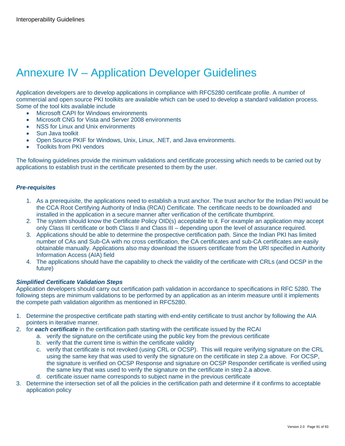# Annexure IV – Application Developer Guidelines

Application developers are to develop applications in compliance with RFC5280 certificate profile. A number of commercial and open source PKI toolkits are available which can be used to develop a standard validation process. Some of the tool kits available include

- Microsoft CAPI for Windows environments
- Microsoft CNG for Vista and Server 2008 environments
- NSS for Linux and Unix environments
- Sun Java toolkit
- Open Source PKIF for Windows, Unix, Linux, .NET, and Java environments.
- Toolkits from PKI vendors

The following guidelines provide the minimum validations and certificate processing which needs to be carried out by applications to establish trust in the certificate presented to them by the user.

#### *Pre-requisites*

- 1. As a prerequisite, the applications need to establish a trust anchor. The trust anchor for the Indian PKI would be the CCA Root Certifying Authority of India (RCAI) Certificate. The certificate needs to be downloaded and installed in the application in a secure manner after verification of the certificate thumbprint.
- 2. The system should know the Certificate Policy OID(s) acceptable to it. For example an application may accept only Class III certificate or both Class II and Class III – depending upon the level of assurance required.
- 3. Applications should be able to determine the prospective certification path. Since the Indian PKI has limited number of CAs and Sub-CA with no cross certification, the CA certificates and sub-CA certificates are easily obtainable manually. Applications also may download the issuers certificate from the URI specified in Authority Information Access (AIA) field
- 4. The applications should have the capability to check the validity of the certificate with CRLs (and OCSP in the future)

#### *Simplified Certificate Validation Steps*

Application developers should carry out certification path validation in accordance to specifications in RFC 5280. The following steps are minimum validations to be performed by an application as an interim measure until it implements the compete path validation algorithm as mentioned in RFC5280.

- 1. Determine the prospective certificate path starting with end-entity certificate to trust anchor by following the AIA pointers in iterative manner.
- 2. for *each certificate* in the certification path starting with the certificate issued by the RCAI
	- a. verify the signature on the certificate using the public key from the previous certificate
	- b. verify that the current time is within the certificate validity
	- c. verify that certificate is not revoked (using CRL or OCSP). This will require verifying signature on the CRL using the same key that was used to verify the signature on the certificate in step 2.a above. For OCSP, the signature is verified on OCSP Response and signature on OCSP Responder certificate is verified using the same key that was used to verify the signature on the certificate in step 2.a above.
	- d. certificate issuer name corresponds to subject name in the previous certificate
- 3. Determine the intersection set of all the policies in the certification path and determine if it confirms to acceptable application policy